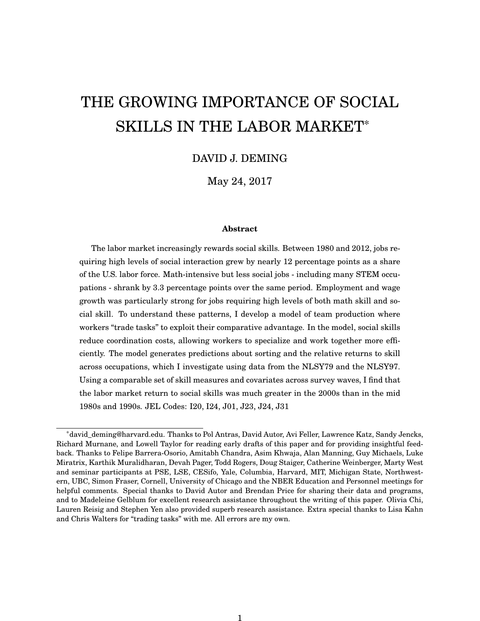# THE GROWING IMPORTANCE OF SOCIAL SKILLS IN THE LABOR MARKET\*

# DAVID J. DEMING

May 24, 2017

#### **Abstract**

The labor market increasingly rewards social skills. Between 1980 and 2012, jobs requiring high levels of social interaction grew by nearly 12 percentage points as a share of the U.S. labor force. Math-intensive but less social jobs - including many STEM occupations - shrank by 3.3 percentage points over the same period. Employment and wage growth was particularly strong for jobs requiring high levels of both math skill and social skill. To understand these patterns, I develop a model of team production where workers "trade tasks" to exploit their comparative advantage. In the model, social skills reduce coordination costs, allowing workers to specialize and work together more efficiently. The model generates predictions about sorting and the relative returns to skill across occupations, which I investigate using data from the NLSY79 and the NLSY97. Using a comparable set of skill measures and covariates across survey waves, I find that the labor market return to social skills was much greater in the 2000s than in the mid 1980s and 1990s. JEL Codes: I20, I24, J01, J23, J24, J31

<sup>\*</sup>david\_deming@harvard.edu. Thanks to Pol Antras, David Autor, Avi Feller, Lawrence Katz, Sandy Jencks, Richard Murnane, and Lowell Taylor for reading early drafts of this paper and for providing insightful feedback. Thanks to Felipe Barrera-Osorio, Amitabh Chandra, Asim Khwaja, Alan Manning, Guy Michaels, Luke Miratrix, Karthik Muralidharan, Devah Pager, Todd Rogers, Doug Staiger, Catherine Weinberger, Marty West and seminar participants at PSE, LSE, CESifo, Yale, Columbia, Harvard, MIT, Michigan State, Northwestern, UBC, Simon Fraser, Cornell, University of Chicago and the NBER Education and Personnel meetings for helpful comments. Special thanks to David Autor and Brendan Price for sharing their data and programs, and to Madeleine Gelblum for excellent research assistance throughout the writing of this paper. Olivia Chi, Lauren Reisig and Stephen Yen also provided superb research assistance. Extra special thanks to Lisa Kahn and Chris Walters for "trading tasks" with me. All errors are my own.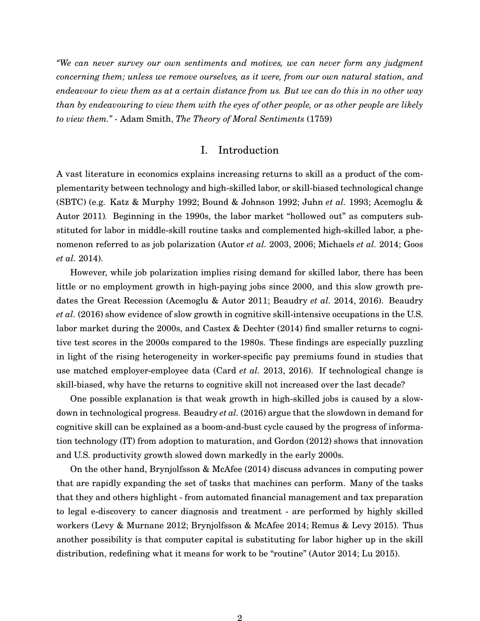*"We can never survey our own sentiments and motives, we can never form any judgment concerning them; unless we remove ourselves, as it were, from our own natural station, and endeavour to view them as at a certain distance from us. But we can do this in no other way than by endeavouring to view them with the eyes of other people, or as other people are likely to view them." -* Adam Smith, *The Theory of Moral Sentiments* (1759)

# I. Introduction

A vast literature in economics explains increasing returns to skill as a product of the complementarity between technology and high-skilled labor, or skill-biased technological change (SBTC) (e.g. [Katz & Murphy 1992;](#page-34-0) [Bound & Johnson 1992;](#page-31-0) [Juhn](#page-34-1) *et al.* [1993;](#page-34-1) [Acemoglu &](#page-30-0) [Autor 2011\)](#page-30-0)*.* Beginning in the 1990s, the labor market "hollowed out" as computers substituted for labor in middle-skill routine tasks and complemented high-skilled labor, a phenomenon referred to as job polarization [\(Autor](#page-30-1) *et al.* [2003,](#page-30-1) [2006;](#page-30-2) [Michaels](#page-35-0) *et al.* [2014;](#page-35-0) [Goos](#page-33-0) *[et al.](#page-33-0)* [2014\)](#page-33-0).

However, while job polarization implies rising demand for skilled labor, there has been little or no employment growth in high-paying jobs since 2000, and this slow growth predates the Great Recession [\(Acemoglu & Autor 2011;](#page-30-0) [Beaudry](#page-31-1) *et al.* [2014,](#page-31-1) [2016\)](#page-31-2). [Beaudry](#page-31-2) *[et al.](#page-31-2)* [\(2016\)](#page-31-2) show evidence of slow growth in cognitive skill-intensive occupations in the U.S. labor market during the 2000s, and [Castex & Dechter](#page-32-0) [\(2014\)](#page-32-0) find smaller returns to cognitive test scores in the 2000s compared to the 1980s. These findings are especially puzzling in light of the rising heterogeneity in worker-specific pay premiums found in studies that use matched employer-employee data [\(Card](#page-32-1) *et al.* [2013,](#page-32-1) [2016\)](#page-32-2). If technological change is skill-biased, why have the returns to cognitive skill not increased over the last decade?

One possible explanation is that weak growth in high-skilled jobs is caused by a slowdown in technological progress. [Beaudry](#page-31-2) *et al.* [\(2016\)](#page-31-2) argue that the slowdown in demand for cognitive skill can be explained as a boom-and-bust cycle caused by the progress of information technology (IT) from adoption to maturation, and [Gordon](#page-33-1) [\(2012\)](#page-33-1) shows that innovation and U.S. productivity growth slowed down markedly in the early 2000s.

On the other hand, [Brynjolfsson & McAfee](#page-32-3) [\(2014\)](#page-32-3) discuss advances in computing power that are rapidly expanding the set of tasks that machines can perform. Many of the tasks that they and others highlight - from automated financial management and tax preparation to legal e-discovery to cancer diagnosis and treatment - are performed by highly skilled workers [\(Levy & Murnane 2012;](#page-35-1) [Brynjolfsson & McAfee 2014;](#page-32-3) [Remus & Levy 2015\)](#page-36-0). Thus another possibility is that computer capital is substituting for labor higher up in the skill distribution, redefining what it means for work to be "routine" [\(Autor 2014;](#page-30-3) [Lu 2015\)](#page-35-2).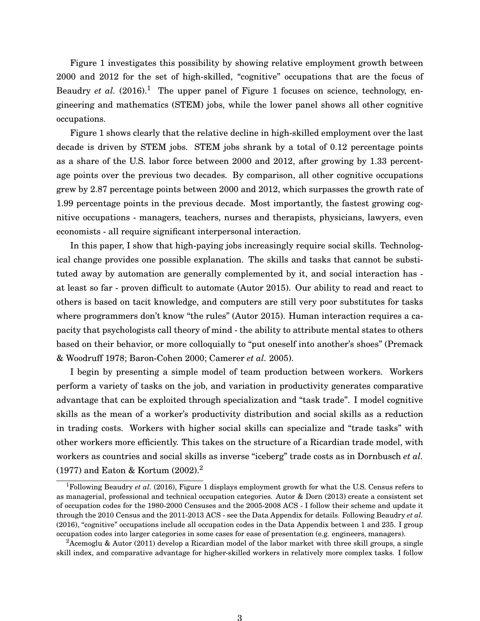Figure 1 investigates this possibility by showing relative employment growth between 2000 and 2012 for the set of high-skilled, "cognitive" occupations that are the focus of [Beaudry](#page-31-2) *et al.*  $(2016)^{1}$  $(2016)^{1}$  $(2016)^{1}$  $(2016)^{1}$  The upper panel of Figure 1 focuses on science, technology, engineering and mathematics (STEM) jobs, while the lower panel shows all other cognitive occupations.

Figure 1 shows clearly that the relative decline in high-skilled employment over the last decade is driven by STEM jobs. STEM jobs shrank by a total of 0.12 percentage points as a share of the U.S. labor force between 2000 and 2012, after growing by 1.33 percentage points over the previous two decades. By comparison, all other cognitive occupations grew by 2.87 percentage points between 2000 and 2012, which surpasses the growth rate of 1.99 percentage points in the previous decade. Most importantly, the fastest growing cognitive occupations - managers, teachers, nurses and therapists, physicians, lawyers, even economists - all require significant interpersonal interaction.

In this paper, I show that high-paying jobs increasingly require social skills. Technological change provides one possible explanation. The skills and tasks that cannot be substituted away by automation are generally complemented by it, and social interaction has at least so far - proven difficult to automate [\(Autor 2015\)](#page-30-4). Our ability to read and react to others is based on tacit knowledge, and computers are still very poor substitutes for tasks where programmers don't know "the rules" [\(Autor 2015\)](#page-30-4). Human interaction requires a capacity that psychologists call theory of mind - the ability to attribute mental states to others based on their behavior, or more colloquially to "put oneself into another's shoes" [\(Premack](#page-36-1) [& Woodruff 1978;](#page-36-1) [Baron-Cohen 2000;](#page-31-3) [Camerer](#page-32-4) *et al.* [2005\)](#page-32-4).

I begin by presenting a simple model of team production between workers. Workers perform a variety of tasks on the job, and variation in productivity generates comparative advantage that can be exploited through specialization and "task trade". I model cognitive skills as the mean of a worker's productivity distribution and social skills as a reduction in trading costs. Workers with higher social skills can specialize and "trade tasks" with other workers more efficiently. This takes on the structure of a Ricardian trade model, with workers as countries and social skills as inverse "iceberg" trade costs as in [Dornbusch](#page-33-2) *et al.* [\(1977\)](#page-33-2) and [Eaton & Kortum](#page-33-3) [\(2002\)](#page-33-3).[2](#page-2-1)

<span id="page-2-0"></span><sup>&</sup>lt;sup>1</sup>Following [Beaudry](#page-31-2) *et al.* [\(2016\)](#page-31-2), Figure 1 displays employment growth for what the U.S. Census refers to as managerial, professional and technical occupation categories. [Autor & Dorn](#page-30-5) [\(2013\)](#page-30-5) create a consistent set of occupation codes for the 1980-2000 Censuses and the 2005-2008 ACS - I follow their scheme and update it through the 2010 Census and the 2011-2013 ACS - see the Data Appendix for details. Following [Beaudry](#page-31-2) *et al.* [\(2016\)](#page-31-2), "cognitive" occupations include all occupation codes in the Data Appendix between 1 and 235. I group occupation codes into larger categories in some cases for ease of presentation (e.g. engineers, managers).

<span id="page-2-1"></span><sup>&</sup>lt;sup>2</sup>[Acemoglu & Autor](#page-30-0) [\(2011\)](#page-30-0) develop a Ricardian model of the labor market with three skill groups, a single skill index, and comparative advantage for higher-skilled workers in relatively more complex tasks. I follow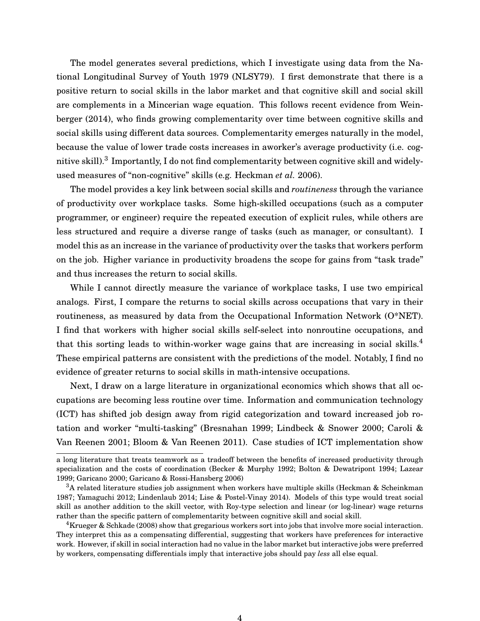The model generates several predictions, which I investigate using data from the National Longitudinal Survey of Youth 1979 (NLSY79). I first demonstrate that there is a positive return to social skills in the labor market and that cognitive skill and social skill are complements in a Mincerian wage equation. This follows recent evidence from [Wein](#page-36-2)[berger](#page-36-2) [\(2014\)](#page-36-2), who finds growing complementarity over time between cognitive skills and social skills using different data sources. Complementarity emerges naturally in the model, because the value of lower trade costs increases in aworker's average productivity (i.e. cognitive skill). $^3$  $^3$  Importantly, I do not find complementarity between cognitive skill and widelyused measures of "non-cognitive" skills (e.g. [Heckman](#page-34-2) *et al.* [2006\)](#page-34-2).

The model provides a key link between social skills and *routineness* through the variance of productivity over workplace tasks. Some high-skilled occupations (such as a computer programmer, or engineer) require the repeated execution of explicit rules, while others are less structured and require a diverse range of tasks (such as manager, or consultant). I model this as an increase in the variance of productivity over the tasks that workers perform on the job. Higher variance in productivity broadens the scope for gains from "task trade" and thus increases the return to social skills.

While I cannot directly measure the variance of workplace tasks, I use two empirical analogs. First, I compare the returns to social skills across occupations that vary in their routineness, as measured by data from the Occupational Information Network (O\*NET). I find that workers with higher social skills self-select into nonroutine occupations, and that this sorting leads to within-worker wage gains that are increasing in social skills.<sup>[4](#page-3-1)</sup> These empirical patterns are consistent with the predictions of the model. Notably, I find no evidence of greater returns to social skills in math-intensive occupations.

Next, I draw on a large literature in organizational economics which shows that all occupations are becoming less routine over time. Information and communication technology (ICT) has shifted job design away from rigid categorization and toward increased job rotation and worker "multi-tasking" [\(Bresnahan 1999;](#page-32-5) [Lindbeck & Snower 2000;](#page-35-3) [Caroli &](#page-32-6) [Van Reenen 2001;](#page-32-6) [Bloom & Van Reenen 2011\)](#page-31-4). Case studies of ICT implementation show

a long literature that treats teamwork as a tradeoff between the benefits of increased productivity through specialization and the costs of coordination [\(Becker & Murphy 1992;](#page-31-5) [Bolton & Dewatripont 1994;](#page-31-6) [Lazear](#page-35-4) [1999;](#page-35-4) [Garicano 2000;](#page-33-4) [Garicano & Rossi-Hansberg 2006\)](#page-33-5)

<span id="page-3-0"></span> $3A$  related literature studies job assignment when workers have multiple skills [\(Heckman & Scheinkman](#page-33-6) [1987;](#page-33-6) [Yamaguchi 2012;](#page-36-3) [Lindenlaub 2014;](#page-35-5) [Lise & Postel-Vinay 2014\)](#page-35-6). Models of this type would treat social skill as another addition to the skill vector, with Roy-type selection and linear (or log-linear) wage returns rather than the specific pattern of complementarity between cognitive skill and social skill.

<span id="page-3-1"></span><sup>&</sup>lt;sup>4</sup>[Krueger & Schkade](#page-34-3) [\(2008\)](#page-34-3) show that gregarious workers sort into jobs that involve more social interaction. They interpret this as a compensating differential, suggesting that workers have preferences for interactive work. However, if skill in social interaction had no value in the labor market but interactive jobs were preferred by workers, compensating differentials imply that interactive jobs should pay *less* all else equal.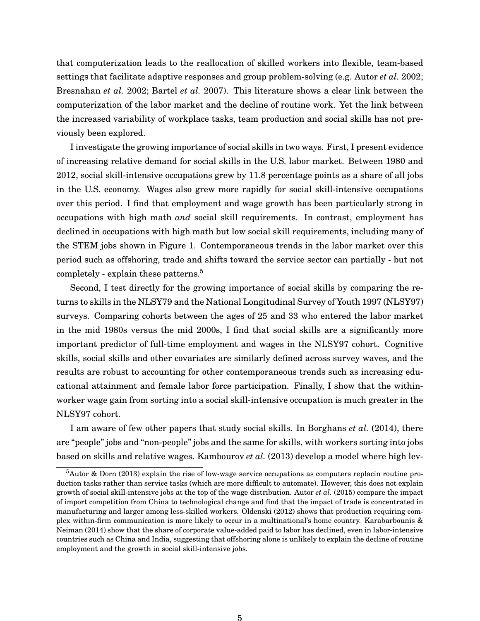that computerization leads to the reallocation of skilled workers into flexible, team-based settings that facilitate adaptive responses and group problem-solving (e.g. [Autor](#page-30-6) *et al.* [2002;](#page-30-6) [Bresnahan](#page-32-7) *et al.* [2002;](#page-32-7) [Bartel](#page-31-7) *et al.* [2007\)](#page-31-7). This literature shows a clear link between the computerization of the labor market and the decline of routine work. Yet the link between the increased variability of workplace tasks, team production and social skills has not previously been explored.

I investigate the growing importance of social skills in two ways. First, I present evidence of increasing relative demand for social skills in the U.S. labor market. Between 1980 and 2012, social skill-intensive occupations grew by 11.8 percentage points as a share of all jobs in the U.S. economy. Wages also grew more rapidly for social skill-intensive occupations over this period. I find that employment and wage growth has been particularly strong in occupations with high math *and* social skill requirements. In contrast, employment has declined in occupations with high math but low social skill requirements, including many of the STEM jobs shown in Figure 1. Contemporaneous trends in the labor market over this period such as offshoring, trade and shifts toward the service sector can partially - but not completely - explain these patterns.<sup>[5](#page-4-0)</sup>

Second, I test directly for the growing importance of social skills by comparing the returns to skills in the NLSY79 and the National Longitudinal Survey of Youth 1997 (NLSY97) surveys. Comparing cohorts between the ages of 25 and 33 who entered the labor market in the mid 1980s versus the mid 2000s, I find that social skills are a significantly more important predictor of full-time employment and wages in the NLSY97 cohort. Cognitive skills, social skills and other covariates are similarly defined across survey waves, and the results are robust to accounting for other contemporaneous trends such as increasing educational attainment and female labor force participation. Finally, I show that the withinworker wage gain from sorting into a social skill-intensive occupation is much greater in the NLSY97 cohort.

I am aware of few other papers that study social skills. In [Borghans](#page-31-8) *et al.* [\(2014\)](#page-31-8), there are "people" jobs and "non-people" jobs and the same for skills, with workers sorting into jobs based on skills and relative wages. [Kambourov](#page-34-4) *et al.* [\(2013\)](#page-34-4) develop a model where high lev-

<span id="page-4-0"></span><sup>5</sup>[Autor & Dorn](#page-30-5) [\(2013\)](#page-30-5) explain the rise of low-wage service occupations as computers replacin routine production tasks rather than service tasks (which are more difficult to automate). However, this does not explain growth of social skill-intensive jobs at the top of the wage distribution. [Autor](#page-30-7) *et al.* [\(2015\)](#page-30-7) compare the impact of import competition from China to technological change and find that the impact of trade is concentrated in manufacturing and larger among less-skilled workers. [Oldenski](#page-35-7) [\(2012\)](#page-35-7) shows that production requiring complex within-firm communication is more likely to occur in a multinational's home country. [Karabarbounis &](#page-34-5) [Neiman](#page-34-5) [\(2014\)](#page-34-5) show that the share of corporate value-added paid to labor has declined, even in labor-intensive countries such as China and India, suggesting that offshoring alone is unlikely to explain the decline of routine employment and the growth in social skill-intensive jobs.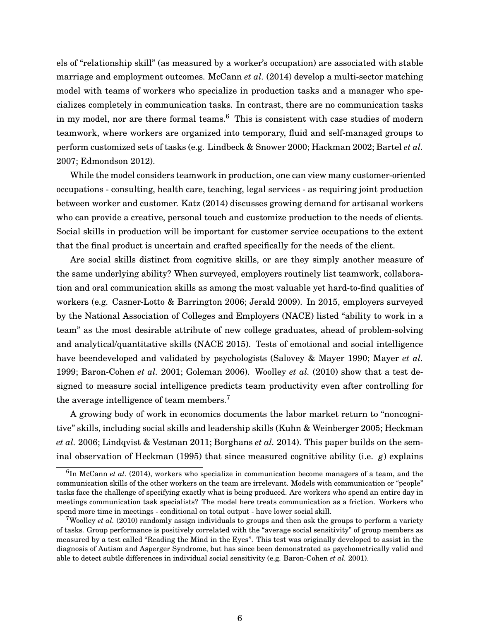els of "relationship skill" (as measured by a worker's occupation) are associated with stable marriage and employment outcomes. [McCann](#page-35-8) *et al.* [\(2014\)](#page-35-8) develop a multi-sector matching model with teams of workers who specialize in production tasks and a manager who specializes completely in communication tasks. In contrast, there are no communication tasks in my model, nor are there formal teams. $6$  This is consistent with case studies of modern teamwork, where workers are organized into temporary, fluid and self-managed groups to perform customized sets of tasks (e.g. [Lindbeck & Snower 2000;](#page-35-3) [Hackman 2002;](#page-33-7) [Bartel](#page-31-7) *et al.* [2007;](#page-31-7) [Edmondson 2012\)](#page-33-8).

While the model considers teamwork in production, one can view many customer-oriented occupations - consulting, health care, teaching, legal services - as requiring joint production between worker and customer. [Katz](#page-34-6) [\(2014\)](#page-34-6) discusses growing demand for artisanal workers who can provide a creative, personal touch and customize production to the needs of clients. Social skills in production will be important for customer service occupations to the extent that the final product is uncertain and crafted specifically for the needs of the client.

Are social skills distinct from cognitive skills, or are they simply another measure of the same underlying ability? When surveyed, employers routinely list teamwork, collaboration and oral communication skills as among the most valuable yet hard-to-find qualities of workers (e.g. [Casner-Lotto & Barrington 2006;](#page-32-8) [Jerald 2009\)](#page-34-7). In 2015, employers surveyed by the National Association of Colleges and Employers (NACE) listed "ability to work in a team" as the most desirable attribute of new college graduates, ahead of problem-solving and analytical/quantitative skills [\(NACE 2015\)](#page-35-9). Tests of emotional and social intelligence have beendeveloped and validated by psychologists [\(Salovey & Mayer 1990;](#page-36-4) [Mayer](#page-35-10) *et al.* [1999;](#page-35-10) [Baron-Cohen](#page-31-9) *et al.* [2001;](#page-31-9) [Goleman 2006\)](#page-33-9). [Woolley](#page-36-5) *et al.* [\(2010\)](#page-36-5) show that a test designed to measure social intelligence predicts team productivity even after controlling for the average intelligence of team members.<sup>[7](#page-5-1)</sup>

A growing body of work in economics documents the labor market return to "noncognitive" skills, including social skills and leadership skills [\(Kuhn & Weinberger 2005;](#page-34-8) [Heckman](#page-34-2) *[et al.](#page-34-2)* [2006;](#page-34-2) [Lindqvist & Vestman 2011;](#page-35-11) [Borghans](#page-31-8) *et al.* [2014\)](#page-31-8). This paper builds on the seminal observation of [Heckman](#page-34-9) [\(1995\)](#page-34-9) that since measured cognitive ability (i.e. *g*) explains

<span id="page-5-0"></span><sup>&</sup>lt;sup>6</sup>In [McCann](#page-35-8) *et al.* [\(2014\)](#page-35-8), workers who specialize in communication become managers of a team, and the communication skills of the other workers on the team are irrelevant. Models with communication or "people" tasks face the challenge of specifying exactly what is being produced. Are workers who spend an entire day in meetings communication task specialists? The model here treats communication as a friction. Workers who spend more time in meetings - conditional on total output - have lower social skill.

<span id="page-5-1"></span><sup>&</sup>lt;sup>7</sup>[Woolley](#page-36-5) *et al.* [\(2010\)](#page-36-5) randomly assign individuals to groups and then ask the groups to perform a variety of tasks. Group performance is positively correlated with the "average social sensitivity" of group members as measured by a test called "Reading the Mind in the Eyes". This test was originally developed to assist in the diagnosis of Autism and Asperger Syndrome, but has since been demonstrated as psychometrically valid and able to detect subtle differences in individual social sensitivity (e.g. [Baron-Cohen](#page-31-9) *et al.* [2001\)](#page-31-9).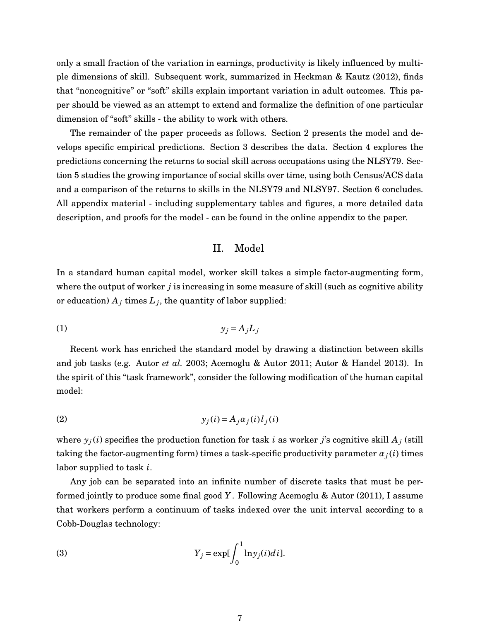only a small fraction of the variation in earnings, productivity is likely influenced by multiple dimensions of skill. Subsequent work, summarized in [Heckman & Kautz](#page-34-10) [\(2012\)](#page-34-10), finds that "noncognitive" or "soft" skills explain important variation in adult outcomes. This paper should be viewed as an attempt to extend and formalize the definition of one particular dimension of "soft" skills - the ability to work with others.

The remainder of the paper proceeds as follows. Section 2 presents the model and develops specific empirical predictions. Section 3 describes the data. Section 4 explores the predictions concerning the returns to social skill across occupations using the NLSY79. Section 5 studies the growing importance of social skills over time, using both Census/ACS data and a comparison of the returns to skills in the NLSY79 and NLSY97. Section 6 concludes. All appendix material - including supplementary tables and figures, a more detailed data description, and proofs for the model - can be found in the online appendix to the paper.

#### II. Model

In a standard human capital model, worker skill takes a simple factor-augmenting form, where the output of worker *j* is increasing in some measure of skill (such as cognitive ability or education)  $A_j$  times  $L_j$ , the quantity of labor supplied:

$$
(1) \t\t\t y_j = A_j L_j
$$

Recent work has enriched the standard model by drawing a distinction between skills and job tasks (e.g. [Autor](#page-30-1) *et al.* [2003;](#page-30-1) [Acemoglu & Autor 2011;](#page-30-0) [Autor & Handel 2013\)](#page-30-8). In the spirit of this "task framework", consider the following modification of the human capital model:

$$
(2) \t\t\t y_j(i) = A_j \alpha_j(i) l_j(i)
$$

where  $y_j(i)$  specifies the production function for task *i* as worker *j*'s cognitive skill  $A_j$  (still taking the factor-augmenting form) times a task-specific productivity parameter  $\alpha_j(i)$  times labor supplied to task *i*.

Any job can be separated into an infinite number of discrete tasks that must be performed jointly to produce some final good *Y*. Following [Acemoglu & Autor](#page-30-0) [\(2011\)](#page-30-0), I assume that workers perform a continuum of tasks indexed over the unit interval according to a Cobb-Douglas technology:

(3) 
$$
Y_j = \exp[\int_0^1 \ln y_j(i)di].
$$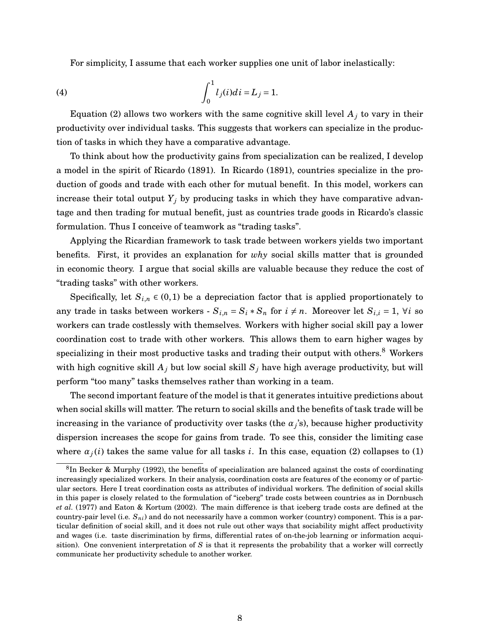For simplicity, I assume that each worker supplies one unit of labor inelastically:

(4) 
$$
\int_0^1 l_j(i)di = L_j = 1.
$$

Equation (2) allows two workers with the same cognitive skill level  $A_j$  to vary in their productivity over individual tasks. This suggests that workers can specialize in the production of tasks in which they have a comparative advantage.

To think about how the productivity gains from specialization can be realized, I develop a model in the spirit of [Ricardo](#page-36-6) [\(1891\)](#page-36-6). In [Ricardo](#page-36-6) [\(1891\)](#page-36-6), countries specialize in the production of goods and trade with each other for mutual benefit. In this model, workers can increase their total output  $Y_j$  by producing tasks in which they have comparative advantage and then trading for mutual benefit, just as countries trade goods in Ricardo's classic formulation. Thus I conceive of teamwork as "trading tasks".

Applying the Ricardian framework to task trade between workers yields two important benefits. First, it provides an explanation for *why* social skills matter that is grounded in economic theory. I argue that social skills are valuable because they reduce the cost of "trading tasks" with other workers.

Specifically, let  $S_{i,n} \in (0,1)$  be a depreciation factor that is applied proportionately to any trade in tasks between workers -  $S_{i,n} = S_i * S_n$  for  $i \neq n$ . Moreover let  $S_{i,i} = 1$ ,  $\forall i$  so workers can trade costlessly with themselves. Workers with higher social skill pay a lower coordination cost to trade with other workers. This allows them to earn higher wages by specializing in their most productive tasks and trading their output with others.<sup>[8](#page-7-0)</sup> Workers with high cognitive skill  $A_j$  but low social skill  $S_j$  have high average productivity, but will perform "too many" tasks themselves rather than working in a team.

The second important feature of the model is that it generates intuitive predictions about when social skills will matter. The return to social skills and the benefits of task trade will be increasing in the variance of productivity over tasks (the  $\alpha_j$ 's), because higher productivity dispersion increases the scope for gains from trade. To see this, consider the limiting case where  $\alpha_j(i)$  takes the same value for all tasks *i*. In this case, equation (2) collapses to (1)

<span id="page-7-0"></span><sup>&</sup>lt;sup>8</sup>In [Becker & Murphy](#page-31-5) [\(1992\)](#page-31-5), the benefits of specialization are balanced against the costs of coordinating increasingly specialized workers. In their analysis, coordination costs are features of the economy or of particular sectors. Here I treat coordination costs as attributes of individual workers. The definition of social skills in this paper is closely related to the formulation of "iceberg" trade costs between countries as in [Dornbusch](#page-33-2) *[et al.](#page-33-2)* [\(1977\)](#page-33-2) and [Eaton & Kortum](#page-33-3) [\(2002\)](#page-33-3). The main difference is that iceberg trade costs are defined at the country-pair level (i.e. *Sni*) and do not necessarily have a common worker (country) component. This is a particular definition of social skill, and it does not rule out other ways that sociability might affect productivity and wages (i.e. taste discrimination by firms, differential rates of on-the-job learning or information acquisition). One convenient interpretation of *S* is that it represents the probability that a worker will correctly communicate her productivity schedule to another worker.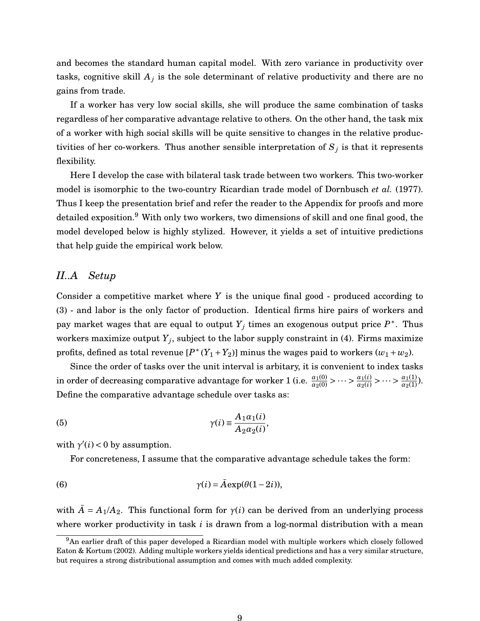and becomes the standard human capital model. With zero variance in productivity over tasks, cognitive skill  $A_j$  is the sole determinant of relative productivity and there are no gains from trade.

If a worker has very low social skills, she will produce the same combination of tasks regardless of her comparative advantage relative to others. On the other hand, the task mix of a worker with high social skills will be quite sensitive to changes in the relative productivities of her co-workers. Thus another sensible interpretation of  $S_j$  is that it represents flexibility.

Here I develop the case with bilateral task trade between two workers. This two-worker model is isomorphic to the two-country Ricardian trade model of [Dornbusch](#page-33-2) *et al.* [\(1977\)](#page-33-2). Thus I keep the presentation brief and refer the reader to the Appendix for proofs and more detailed exposition.<sup>[9](#page-8-0)</sup> With only two workers, two dimensions of skill and one final good, the model developed below is highly stylized. However, it yields a set of intuitive predictions that help guide the empirical work below.

# *II..A Setup*

Consider a competitive market where *Y* is the unique final good - produced according to (3) - and labor is the only factor of production. Identical firms hire pairs of workers and pay market wages that are equal to output  $Y_j$  times an exogenous output price  $P^*$ . Thus workers maximize output  $Y_j$ , subject to the labor supply constraint in (4). Firms maximize profits, defined as total revenue  $[P^*(Y_1+Y_2)]$  minus the wages paid to workers  $(w_1+w_2)$ .

Since the order of tasks over the unit interval is arbitary, it is convenient to index tasks in order of decreasing comparative advantage for worker 1 (i.e.  $\frac{\alpha_1(0)}{\alpha_2(0)}$  > ··· >  $\frac{\alpha_1(i)}{\alpha_2(i)}$  > ··· >  $\frac{\alpha_1(1)}{\alpha_2(1)}$ ). Define the comparative advantage schedule over tasks as:

(5) 
$$
\gamma(i) \equiv \frac{A_1 \alpha_1(i)}{A_2 \alpha_2(i)},
$$

with  $\gamma'(i) < 0$  by assumption.

For concreteness, I assume that the comparative advantage schedule takes the form:

(6) 
$$
\gamma(i) = \bar{A} \exp(\theta(1-2i)),
$$

with  $\overline{A} = A_1/A_2$ . This functional form for  $\gamma(i)$  can be derived from an underlying process where worker productivity in task *i* is drawn from a log-normal distribution with a mean

<span id="page-8-0"></span><sup>9</sup>An earlier draft of this paper developed a Ricardian model with multiple workers which closely followed [Eaton & Kortum](#page-33-3) [\(2002\)](#page-33-3). Adding multiple workers yields identical predictions and has a very similar structure, but requires a strong distributional assumption and comes with much added complexity.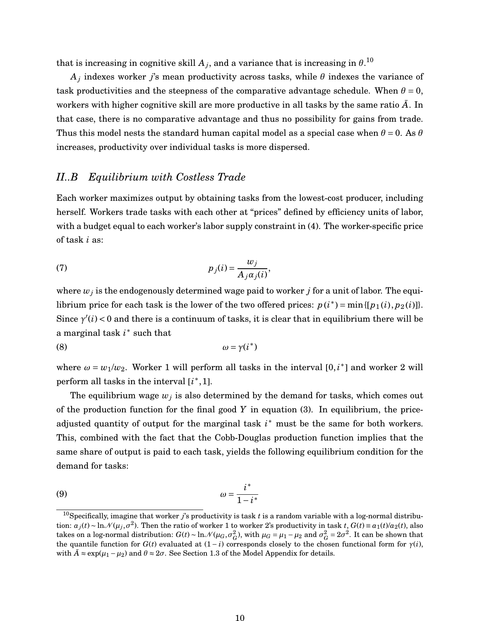that is increasing in cognitive skill  $A_j$ , and a variance that is increasing in  $\theta. ^{10}$  $\theta. ^{10}$  $\theta. ^{10}$ 

 $A_j$  indexes worker  $j$ 's mean productivity across tasks, while  $\theta$  indexes the variance of task productivities and the steepness of the comparative advantage schedule. When  $\theta = 0$ , workers with higher cognitive skill are more productive in all tasks by the same ratio  $\bar{A}$ . In that case, there is no comparative advantage and thus no possibility for gains from trade. Thus this model nests the standard human capital model as a special case when  $\theta = 0$ . As  $\theta$ increases, productivity over individual tasks is more dispersed.

# *II..B Equilibrium with Costless Trade*

Each worker maximizes output by obtaining tasks from the lowest-cost producer, including herself. Workers trade tasks with each other at "prices" defined by efficiency units of labor, with a budget equal to each worker's labor supply constraint in (4). The worker-specific price of task *i* as:

(7) 
$$
p_j(i) = \frac{w_j}{A_j \alpha_j(i)},
$$

where  $w_j$  is the endogenously determined wage paid to worker  $j$  for a unit of labor. The equilibrium price for each task is the lower of the two offered prices:  $p(i^*) = \min\{[p_1(i), p_2(i)]\}$ . Since  $\gamma'(i)$  < 0 and there is a continuum of tasks, it is clear that in equilibrium there will be a marginal task *i* ∗ such that

$$
\omega = \gamma(i^*)
$$

where  $\omega = w_1/w_2$ . Worker 1 will perform all tasks in the interval  $[0, i^*]$  and worker 2 will perform all tasks in the interval [*i*<sup>\*</sup>, 1].

The equilibrium wage  $w_j$  is also determined by the demand for tasks, which comes out of the production function for the final good *Y* in equation (3). In equilibrium, the priceadjusted quantity of output for the marginal task  $i^*$  must be the same for both workers. This, combined with the fact that the Cobb-Douglas production function implies that the same share of output is paid to each task, yields the following equilibrium condition for the demand for tasks:

$$
\omega = \frac{i^*}{1 - i^*}
$$

<span id="page-9-0"></span><sup>&</sup>lt;sup>10</sup>Specifically, imagine that worker  $j$ 's productivity is task  $t$  is a random variable with a log-normal distribution:  $a_j(t) \sim \ln \mathcal{N}(\mu_j, \sigma^2)$ . Then the ratio of worker 1 to worker 2's productivity in task *t*,  $G(t) \equiv a_1(t)/a_2(t)$ , also takes on a log-normal distribution:  $G(t) \sim \ln \mathcal{N}(\mu_G, \sigma_G^2)$ , with  $\mu_G = \mu_1 - \mu_2$  and  $\sigma_G^2 = 2\sigma^2$ . It can be shown that the quantile function for  $G(t)$  evaluated at  $(1 - i)$  corresponds closely to the chosen functional form for  $\gamma(i)$ , with  $\bar{A} \approx \exp(\mu_1 - \mu_2)$  and  $\theta \approx 2\sigma$ . See Section 1.3 of the Model Appendix for details.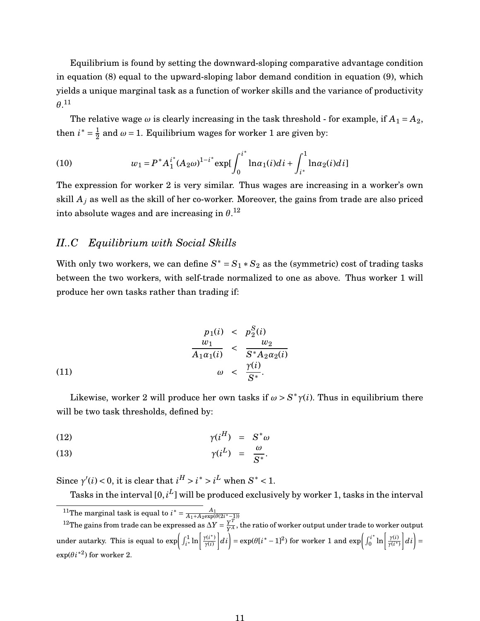Equilibrium is found by setting the downward-sloping comparative advantage condition in equation (8) equal to the upward-sloping labor demand condition in equation (9), which yields a unique marginal task as a function of worker skills and the variance of productivity  $\theta$ <sup>[11](#page-10-0)</sup>

The relative wage  $\omega$  is clearly increasing in the task threshold - for example, if  $A_1 = A_2$ , then  $i^* = \frac{1}{2}$  $\frac{1}{2}$  and  $\omega$  = 1. Equilibrium wages for worker 1 are given by:

(10) 
$$
w_1 = P^* A_1^{i^*} (A_2 \omega)^{1-i^*} \exp \left( \int_0^{i^*} \ln \alpha_1(i) di + \int_{i^*}^1 \ln \alpha_2(i) di \right)
$$

The expression for worker 2 is very similar. Thus wages are increasing in a worker's own skill  $A_i$  as well as the skill of her co-worker. Moreover, the gains from trade are also priced into absolute wages and are increasing in  $\theta^{.12}$  $\theta^{.12}$  $\theta^{.12}$ 

# *II..C Equilibrium with Social Skills*

With only two workers, we can define  $S^* = S_1 * S_2$  as the (symmetric) cost of trading tasks between the two workers, with self-trade normalized to one as above. Thus worker 1 will produce her own tasks rather than trading if:

(11)  
\n
$$
\frac{p_1(i)}{w_1} < \frac{p_2^S(i)}{w_2}
$$
\n
$$
\frac{w_1}{A_1 \alpha_1(i)} < \frac{w_2}{S^* A_2 \alpha_2(i)}
$$
\n
$$
\omega < \frac{\gamma(i)}{S^*}.
$$

Likewise, worker 2 will produce her own tasks if  $\omega > S^* \gamma(i)$ . Thus in equilibrium there will be two task thresholds, defined by:

$$
\gamma(i^H) = S^* \omega
$$

$$
\gamma(i^L) = \frac{\omega}{S^*}.
$$

Since  $\gamma'(i) < 0$ , it is clear that  $i^H > i^* > i^L$  when  $S^* < 1$ .

Tasks in the interval [0, $i^L$ ] will be produced exclusively by worker 1, tasks in the interval

<span id="page-10-1"></span><span id="page-10-0"></span><sup>&</sup>lt;sup>11</sup>The marginal task is equal to  $i^* = \frac{A_1}{A_1 + A_2 \exp(\theta(2i^* - 1))}$ 

<sup>&</sup>lt;sup>12</sup>The gains from trade can be expressed as  $\Delta Y = \frac{Y^T}{Y^A}$  $\frac{Y^2}{Y^A}$ , the ratio of worker output under trade to worker output under autarky. This is equal to  $\exp\left(\int_{i^*}^1 \ln \left|\frac{\gamma(i^*)}{\gamma(i)}\right|\right)$ *γ*(*i*)  $\left| d_i \right| = \exp(\theta[i^* - 1]^2)$  for worker 1 and  $\exp\left( \int_0^{i^*} \right)$  $\int_0^{i^*} \ln \left( \frac{\gamma(i)}{\gamma(i^*)} \right)$ *γ*(*i* ∗)  $|di|$  $\exp(\theta i^{*2})$  for worker 2.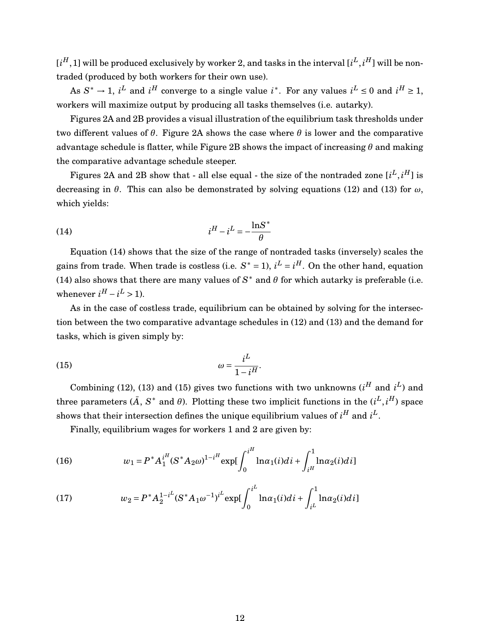$[i^H,1]$  will be produced exclusively by worker 2, and tasks in the interval  $[i^L,i^H]$  will be nontraded (produced by both workers for their own use).

As  $S^* \to 1$ , *i*<sup>L</sup> and *i*<sup>H</sup> converge to a single value *i*<sup>\*</sup>. For any values *i*<sup>L</sup>  $\leq$  0 and *i*<sup>H</sup>  $\geq$  1, workers will maximize output by producing all tasks themselves (i.e. autarky).

Figures 2A and 2B provides a visual illustration of the equilibrium task thresholds under two different values of *θ*. Figure 2A shows the case where *θ* is lower and the comparative advantage schedule is flatter, while Figure 2B shows the impact of increasing *θ* and making the comparative advantage schedule steeper.

Figures 2A and 2B show that - all else equal - the size of the nontraded zone  $[i^L, i^H]$  is decreasing in *θ*. This can also be demonstrated by solving equations (12) and (13) for *ω*, which yields:

$$
(14) \t\t\t iH - iL = -\frac{\ln S^*}{\theta}
$$

Equation (14) shows that the size of the range of nontraded tasks (inversely) scales the gains from trade. When trade is costless (i.e.  $S^* = 1$ ),  $i^L = i^H$ . On the other hand, equation (14) also shows that there are many values of  $S^*$  and  $\theta$  for which autarky is preferable (i.e. whenever  $i^H - i^L > 1$ ).

As in the case of costless trade, equilibrium can be obtained by solving for the intersection between the two comparative advantage schedules in (12) and (13) and the demand for tasks, which is given simply by:

$$
\omega = \frac{i^L}{1 - i^H}.
$$

Combining (12), (13) and (15) gives two functions with two unknowns  $(i^H \text{ and } i^L)$  and three parameters  $(\bar{A}, S^* \text{ and } \theta)$ . Plotting these two implicit functions in the  $(i^L, i^H)$  space shows that their intersection defines the unique equilibrium values of  $i^H$  and  $i^L$ .

Finally, equilibrium wages for workers 1 and 2 are given by:

(16) 
$$
w_1 = P^* A_1^{iH} (S^* A_2 \omega)^{1-iH} \exp \left( \int_0^{iH} \ln \alpha_1(i) di + \int_{iH}^1 \ln \alpha_2(i) di \right)
$$

(17) 
$$
w_2 = P^* A_2^{1-iL} (S^* A_1 \omega^{-1})^{iL} \exp\left(\int_0^{iL} \ln \alpha_1(i) di + \int_{iL}^1 \ln \alpha_2(i) di\right)
$$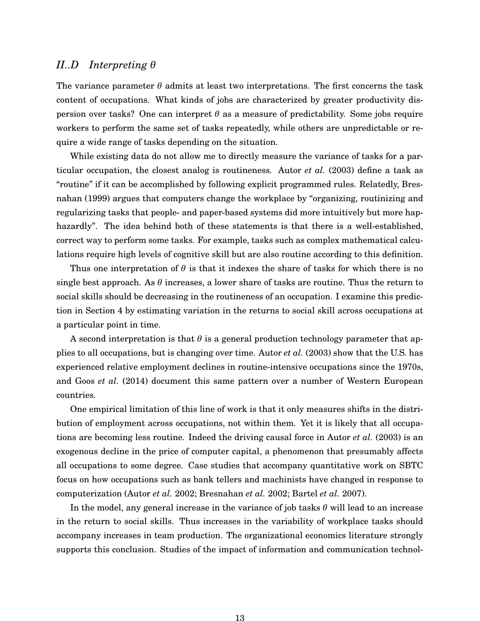# *II..D Interpreting θ*

The variance parameter  $\theta$  admits at least two interpretations. The first concerns the task content of occupations. What kinds of jobs are characterized by greater productivity dispersion over tasks? One can interpret *θ* as a measure of predictability. Some jobs require workers to perform the same set of tasks repeatedly, while others are unpredictable or require a wide range of tasks depending on the situation.

While existing data do not allow me to directly measure the variance of tasks for a particular occupation, the closest analog is routineness*.* [Autor](#page-30-1) *et al.* [\(2003\)](#page-30-1) define a task as "routine" if it can be accomplished by following explicit programmed rules. Relatedly, [Bres](#page-32-5)[nahan](#page-32-5) [\(1999\)](#page-32-5) argues that computers change the workplace by "organizing, routinizing and regularizing tasks that people- and paper-based systems did more intuitively but more haphazardly". The idea behind both of these statements is that there is a well-established, correct way to perform some tasks. For example, tasks such as complex mathematical calculations require high levels of cognitive skill but are also routine according to this definition.

Thus one interpretation of *θ* is that it indexes the share of tasks for which there is no single best approach. As *θ* increases, a lower share of tasks are routine. Thus the return to social skills should be decreasing in the routineness of an occupation. I examine this prediction in Section 4 by estimating variation in the returns to social skill across occupations at a particular point in time.

A second interpretation is that *θ* is a general production technology parameter that applies to all occupations, but is changing over time. [Autor](#page-30-1) *et al.* [\(2003\)](#page-30-1) show that the U.S. has experienced relative employment declines in routine-intensive occupations since the 1970s, and Goos *[et al.](#page-33-0)* [\(2014\)](#page-33-0) document this same pattern over a number of Western European countries.

One empirical limitation of this line of work is that it only measures shifts in the distribution of employment across occupations, not within them. Yet it is likely that all occupations are becoming less routine. Indeed the driving causal force in [Autor](#page-30-1) *et al.* [\(2003\)](#page-30-1) is an exogenous decline in the price of computer capital, a phenomenon that presumably affects all occupations to some degree. Case studies that accompany quantitative work on SBTC focus on how occupations such as bank tellers and machinists have changed in response to computerization [\(Autor](#page-30-6) *et al.* [2002;](#page-30-6) [Bresnahan](#page-32-7) *et al.* [2002;](#page-32-7) [Bartel](#page-31-7) *et al.* [2007\)](#page-31-7).

In the model, any general increase in the variance of job tasks *θ* will lead to an increase in the return to social skills. Thus increases in the variability of workplace tasks should accompany increases in team production. The organizational economics literature strongly supports this conclusion. Studies of the impact of information and communication technol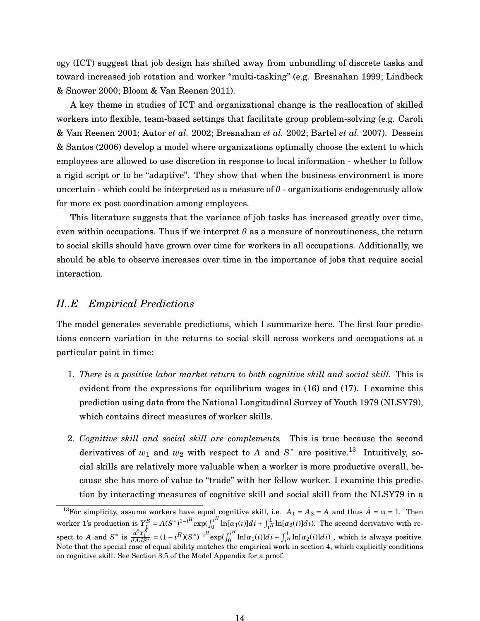ogy (ICT) suggest that job design has shifted away from unbundling of discrete tasks and toward increased job rotation and worker "multi-tasking" (e.g. [Bresnahan 1999;](#page-32-5) [Lindbeck](#page-35-3) [& Snower 2000;](#page-35-3) [Bloom & Van Reenen 2011\)](#page-31-4).

A key theme in studies of ICT and organizational change is the reallocation of skilled workers into flexible, team-based settings that facilitate group problem-solving (e.g. [Caroli](#page-32-6) [& Van Reenen 2001;](#page-32-6) [Autor](#page-30-6) *et al.* [2002;](#page-30-6) [Bresnahan](#page-32-7) *et al.* [2002;](#page-32-7) [Bartel](#page-31-7) *et al.* [2007\)](#page-31-7). [Dessein](#page-33-10) [& Santos](#page-33-10) [\(2006\)](#page-33-10) develop a model where organizations optimally choose the extent to which employees are allowed to use discretion in response to local information - whether to follow a rigid script or to be "adaptive". They show that when the business environment is more uncertain - which could be interpreted as a measure of  $\theta$  - organizations endogenously allow for more ex post coordination among employees.

This literature suggests that the variance of job tasks has increased greatly over time, even within occupations. Thus if we interpret  $\theta$  as a measure of nonroutineness, the return to social skills should have grown over time for workers in all occupations. Additionally, we should be able to observe increases over time in the importance of jobs that require social interaction.

# *II..E Empirical Predictions*

The model generates severable predictions, which I summarize here. The first four predictions concern variation in the returns to social skill across workers and occupations at a particular point in time:

- 1. *There is a positive labor market return to both cognitive skill and social skill.* This is evident from the expressions for equilibrium wages in (16) and (17). I examine this prediction using data from the National Longitudinal Survey of Youth 1979 (NLSY79), which contains direct measures of worker skills.
- 2. *Cognitive skill and social skill are complements.* This is true because the second derivatives of  $w_1$  and  $w_2$  with respect to A and  $S^*$  are positive.<sup>[13](#page-13-0)</sup> Intuitively, social skills are relatively more valuable when a worker is more productive overall, because she has more of value to "trade" with her fellow worker. I examine this prediction by interacting measures of cognitive skill and social skill from the NLSY79 in a

<span id="page-13-0"></span><sup>&</sup>lt;sup>13</sup>For simplicity, assume workers have equal cognitive skill, i.e.  $A_1 = A_2 = A$  and thus  $\overline{A} = \omega = 1$ . Then worker 1's production is  $Y_1^S = A(S^*)^{1-i^H} \exp(\int_0^{i^H}$  $\int_0^{i^H} \ln[\alpha_1(i)]di + \int_{i^H}^1 \ln[\alpha_2(i)]di$ ). The second derivative with respect to *A* and  $S^*$  is  $\frac{d^2Y_1^S}{dAdS^*} = (1 - i^H)(S^*)^{-i^H} \exp(\int_0^{i^H}$  $\int_0^{i^H} \ln[\alpha_1(i)]di + \int_{i^H}^1 \ln[\alpha_2(i)]di)$  , which is always positive. Note that the special case of equal ability matches the empirical work in section 4, which explicitly conditions on cognitive skill. See Section 3.5 of the Model Appendix for a proof.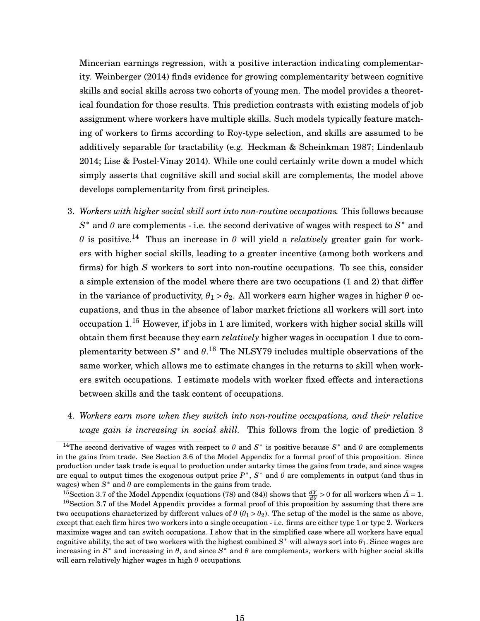Mincerian earnings regression, with a positive interaction indicating complementarity. [Weinberger](#page-36-2) [\(2014\)](#page-36-2) finds evidence for growing complementarity between cognitive skills and social skills across two cohorts of young men. The model provides a theoretical foundation for those results. This prediction contrasts with existing models of job assignment where workers have multiple skills. Such models typically feature matching of workers to firms according to Roy-type selection, and skills are assumed to be additively separable for tractability (e.g. [Heckman & Scheinkman 1987;](#page-33-6) [Lindenlaub](#page-35-5) [2014;](#page-35-5) [Lise & Postel-Vinay 2014\)](#page-35-6). While one could certainly write down a model which simply asserts that cognitive skill and social skill are complements, the model above develops complementarity from first principles.

- 3. *Workers with higher social skill sort into non-routine occupations.* This follows because *S* <sup>∗</sup> and *θ* are complements - i.e. the second derivative of wages with respect to *S* <sup>∗</sup> and *θ* is positive.<sup>[14](#page-14-0)</sup> Thus an increase in *θ* will yield a *relatively* greater gain for workers with higher social skills, leading to a greater incentive (among both workers and firms) for high *S* workers to sort into non-routine occupations. To see this, consider a simple extension of the model where there are two occupations (1 and 2) that differ in the variance of productivity,  $\theta_1 > \theta_2$ . All workers earn higher wages in higher  $\theta$  occupations, and thus in the absence of labor market frictions all workers will sort into occupation  $1<sup>15</sup>$  $1<sup>15</sup>$  $1<sup>15</sup>$  However, if jobs in 1 are limited, workers with higher social skills will obtain them first because they earn *relatively* higher wages in occupation 1 due to complementarity between  $S^*$  and  $\theta$ .<sup>[16](#page-14-2)</sup> The NLSY79 includes multiple observations of the same worker, which allows me to estimate changes in the returns to skill when workers switch occupations. I estimate models with worker fixed effects and interactions between skills and the task content of occupations.
- 4. *Workers earn more when they switch into non-routine occupations, and their relative wage gain is increasing in social skill.* This follows from the logic of prediction 3

<span id="page-14-0"></span><sup>&</sup>lt;sup>14</sup>The second derivative of wages with respect to  $\theta$  and  $S^*$  is positive because  $S^*$  and  $\theta$  are complements in the gains from trade. See Section 3.6 of the Model Appendix for a formal proof of this proposition. Since production under task trade is equal to production under autarky times the gains from trade, and since wages are equal to output times the exogenous output price  $P^*$ ,  $S^*$  and  $\theta$  are complements in output (and thus in wages) when  $S^*$  and  $\theta$  are complements in the gains from trade.

<span id="page-14-2"></span><span id="page-14-1"></span><sup>&</sup>lt;sup>15</sup>Section 3.7 of the Model Appendix (equations (78) and (84)) shows that  $\frac{dY}{d\theta} > 0$  for all workers when  $\bar{A} = 1$ .

<sup>&</sup>lt;sup>16</sup>Section 3.7 of the Model Appendix provides a formal proof of this proposition by assuming that there are two occupations characterized by different values of  $\theta$  ( $\theta_1 > \theta_2$ ). The setup of the model is the same as above, except that each firm hires two workers into a single occupation - i.e. firms are either type 1 or type 2. Workers maximize wages and can switch occupations. I show that in the simplified case where all workers have equal cognitive ability, the set of two workers with the highest combined  $S^*$  will always sort into  $\theta_1$ . Since wages are increasing in  $S^*$  and increasing in  $\theta$ , and since  $S^*$  and  $\theta$  are complements, workers with higher social skills will earn relatively higher wages in high *θ* occupations.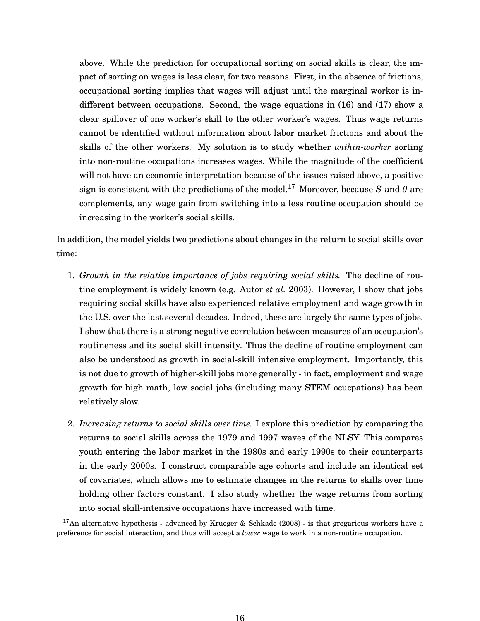above. While the prediction for occupational sorting on social skills is clear, the impact of sorting on wages is less clear, for two reasons. First, in the absence of frictions, occupational sorting implies that wages will adjust until the marginal worker is indifferent between occupations. Second, the wage equations in (16) and (17) show a clear spillover of one worker's skill to the other worker's wages. Thus wage returns cannot be identified without information about labor market frictions and about the skills of the other workers. My solution is to study whether *within-worker* sorting into non-routine occupations increases wages. While the magnitude of the coefficient will not have an economic interpretation because of the issues raised above, a positive sign is consistent with the predictions of the model.<sup>[17](#page-15-0)</sup> Moreover, because *S* and  $\theta$  are complements, any wage gain from switching into a less routine occupation should be increasing in the worker's social skills.

In addition, the model yields two predictions about changes in the return to social skills over time:

- 1. *Growth in the relative importance of jobs requiring social skills.* The decline of routine employment is widely known (e.g. [Autor](#page-30-1) *et al.* [2003\)](#page-30-1). However, I show that jobs requiring social skills have also experienced relative employment and wage growth in the U.S. over the last several decades. Indeed, these are largely the same types of jobs. I show that there is a strong negative correlation between measures of an occupation's routineness and its social skill intensity*.* Thus the decline of routine employment can also be understood as growth in social-skill intensive employment. Importantly, this is not due to growth of higher-skill jobs more generally - in fact, employment and wage growth for high math, low social jobs (including many STEM ocucpations) has been relatively slow.
- 2. *Increasing returns to social skills over time.* I explore this prediction by comparing the returns to social skills across the 1979 and 1997 waves of the NLSY. This compares youth entering the labor market in the 1980s and early 1990s to their counterparts in the early 2000s. I construct comparable age cohorts and include an identical set of covariates, which allows me to estimate changes in the returns to skills over time holding other factors constant. I also study whether the wage returns from sorting into social skill-intensive occupations have increased with time.

<span id="page-15-0"></span><sup>&</sup>lt;sup>17</sup>An alternative hypothesis - advanced by [Krueger & Schkade](#page-34-3) [\(2008\)](#page-34-3) - is that gregarious workers have a preference for social interaction, and thus will accept a *lower* wage to work in a non-routine occupation.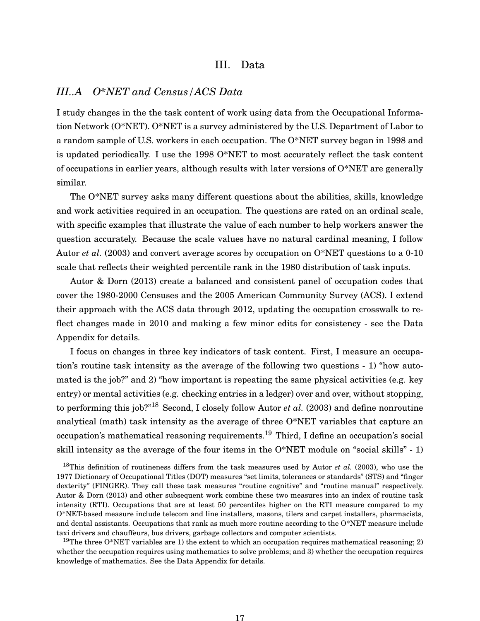#### III. Data

# *III..A O\*NET and Census/ACS Data*

I study changes in the the task content of work using data from the Occupational Information Network (O\*NET). O\*NET is a survey administered by the U.S. Department of Labor to a random sample of U.S. workers in each occupation. The O\*NET survey began in 1998 and is updated periodically. I use the 1998 O\*NET to most accurately reflect the task content of occupations in earlier years, although results with later versions of O\*NET are generally similar.

The O\*NET survey asks many different questions about the abilities, skills, knowledge and work activities required in an occupation. The questions are rated on an ordinal scale, with specific examples that illustrate the value of each number to help workers answer the question accurately. Because the scale values have no natural cardinal meaning, I follow [Autor](#page-30-1) *et al.* [\(2003\)](#page-30-1) and convert average scores by occupation on O\*NET questions to a 0-10 scale that reflects their weighted percentile rank in the 1980 distribution of task inputs.

[Autor & Dorn](#page-30-5) [\(2013\)](#page-30-5) create a balanced and consistent panel of occupation codes that cover the 1980-2000 Censuses and the 2005 American Community Survey (ACS). I extend their approach with the ACS data through 2012, updating the occupation crosswalk to reflect changes made in 2010 and making a few minor edits for consistency - see the Data Appendix for details.

I focus on changes in three key indicators of task content. First, I measure an occupation's routine task intensity as the average of the following two questions - 1) "how automated is the job?" and 2) "how important is repeating the same physical activities (e.g. key entry) or mental activities (e.g. checking entries in a ledger) over and over, without stopping, to performing this job?"[18](#page-16-0) Second, I closely follow [Autor](#page-30-1) *et al.* [\(2003\)](#page-30-1) and define nonroutine analytical (math) task intensity as the average of three O\*NET variables that capture an occupation's mathematical reasoning requirements.[19](#page-16-1) Third, I define an occupation's social skill intensity as the average of the four items in the O\*NET module on "social skills" - 1)

<span id="page-16-0"></span><sup>18</sup>This definition of routineness differs from the task measures used by [Autor](#page-30-1) *et al.* [\(2003\)](#page-30-1), who use the 1977 Dictionary of Occupational Titles (DOT) measures "set limits, tolerances or standards" (STS) and "finger dexterity" (FINGER). They call these task measures "routine cognitive" and "routine manual" respectively. [Autor & Dorn](#page-30-5) [\(2013\)](#page-30-5) and other subsequent work combine these two measures into an index of routine task intensity (RTI). Occupations that are at least 50 percentiles higher on the RTI measure compared to my O\*NET-based measure include telecom and line installers, masons, tilers and carpet installers, pharmacists, and dental assistants. Occupations that rank as much more routine according to the O\*NET measure include taxi drivers and chauffeurs, bus drivers, garbage collectors and computer scientists.

<span id="page-16-1"></span><sup>&</sup>lt;sup>19</sup>The three O\*NET variables are 1) the extent to which an occupation requires mathematical reasoning; 2) whether the occupation requires using mathematics to solve problems; and 3) whether the occupation requires knowledge of mathematics. See the Data Appendix for details.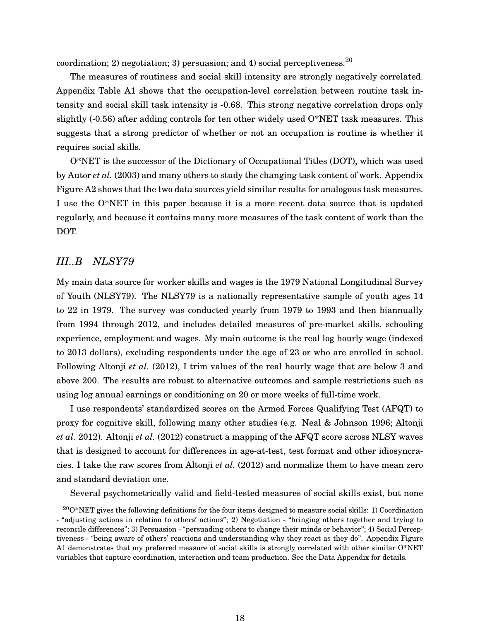coordination; 2) negotiation; 3) persuasion; and 4) social perceptiveness.<sup>[20](#page-17-0)</sup>

The measures of routiness and social skill intensity are strongly negatively correlated. Appendix Table A1 shows that the occupation-level correlation between routine task intensity and social skill task intensity is -0.68. This strong negative correlation drops only slightly  $(-0.56)$  after adding controls for ten other widely used  $O^*NET$  task measures. This suggests that a strong predictor of whether or not an occupation is routine is whether it requires social skills.

O\*NET is the successor of the Dictionary of Occupational Titles (DOT), which was used by [Autor](#page-30-1) *et al.* [\(2003\)](#page-30-1) and many others to study the changing task content of work. Appendix Figure A2 shows that the two data sources yield similar results for analogous task measures. I use the O\*NET in this paper because it is a more recent data source that is updated regularly, and because it contains many more measures of the task content of work than the DOT.

# *III..B NLSY79*

My main data source for worker skills and wages is the 1979 National Longitudinal Survey of Youth (NLSY79). The NLSY79 is a nationally representative sample of youth ages 14 to 22 in 1979. The survey was conducted yearly from 1979 to 1993 and then biannually from 1994 through 2012, and includes detailed measures of pre-market skills, schooling experience, employment and wages. My main outcome is the real log hourly wage (indexed to 2013 dollars), excluding respondents under the age of 23 or who are enrolled in school. Following [Altonji](#page-30-9) *et al.* [\(2012\)](#page-30-9), I trim values of the real hourly wage that are below 3 and above 200. The results are robust to alternative outcomes and sample restrictions such as using log annual earnings or conditioning on 20 or more weeks of full-time work.

I use respondents' standardized scores on the Armed Forces Qualifying Test (AFQT) to proxy for cognitive skill, following many other studies (e.g. [Neal & Johnson 1996;](#page-35-12) [Altonji](#page-30-9) *[et al.](#page-30-9)* [2012\)](#page-30-9). [Altonji](#page-30-9) *et al.* [\(2012\)](#page-30-9) construct a mapping of the AFQT score across NLSY waves that is designed to account for differences in age-at-test, test format and other idiosyncracies. I take the raw scores from [Altonji](#page-30-9) *et al.* [\(2012\)](#page-30-9) and normalize them to have mean zero and standard deviation one.

Several psychometrically valid and field-tested measures of social skills exist, but none

<span id="page-17-0"></span> $200*NET$  gives the following definitions for the four items designed to measure social skills: 1) Coordination - "adjusting actions in relation to others' actions"; 2) Negotiation - "bringing others together and trying to reconcile differences"; 3) Persuasion - "persuading others to change their minds or behavior"; 4) Social Perceptiveness - "being aware of others' reactions and understanding why they react as they do". Appendix Figure A1 demonstrates that my preferred measure of social skills is strongly correlated with other similar O\*NET variables that capture coordination, interaction and team production. See the Data Appendix for details.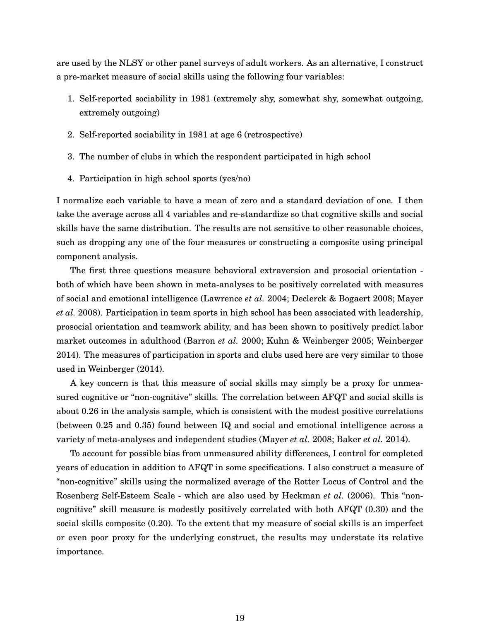are used by the NLSY or other panel surveys of adult workers. As an alternative, I construct a pre-market measure of social skills using the following four variables:

- 1. Self-reported sociability in 1981 (extremely shy, somewhat shy, somewhat outgoing, extremely outgoing)
- 2. Self-reported sociability in 1981 at age 6 (retrospective)
- 3. The number of clubs in which the respondent participated in high school
- 4. Participation in high school sports (yes/no)

I normalize each variable to have a mean of zero and a standard deviation of one. I then take the average across all 4 variables and re-standardize so that cognitive skills and social skills have the same distribution. The results are not sensitive to other reasonable choices, such as dropping any one of the four measures or constructing a composite using principal component analysis.

The first three questions measure behavioral extraversion and prosocial orientation both of which have been shown in meta-analyses to be positively correlated with measures of social and emotional intelligence [\(Lawrence](#page-34-11) *et al.* [2004;](#page-34-11) [Declerck & Bogaert 2008;](#page-32-9) [Mayer](#page-35-13) *[et al.](#page-35-13)* [2008\)](#page-35-13). Participation in team sports in high school has been associated with leadership, prosocial orientation and teamwork ability, and has been shown to positively predict labor market outcomes in adulthood [\(Barron](#page-31-10) *et al.* [2000;](#page-31-10) [Kuhn & Weinberger 2005;](#page-34-8) [Weinberger](#page-36-2) [2014\)](#page-36-2). The measures of participation in sports and clubs used here are very similar to those used in [Weinberger](#page-36-2) [\(2014\)](#page-36-2).

A key concern is that this measure of social skills may simply be a proxy for unmeasured cognitive or "non-cognitive" skills. The correlation between AFQT and social skills is about 0.26 in the analysis sample, which is consistent with the modest positive correlations (between 0.25 and 0.35) found between IQ and social and emotional intelligence across a variety of meta-analyses and independent studies [\(Mayer](#page-35-13) *et al.* [2008;](#page-35-13) [Baker](#page-31-11) *et al.* [2014\)](#page-31-11).

To account for possible bias from unmeasured ability differences, I control for completed years of education in addition to AFQT in some specifications. I also construct a measure of "non-cognitive" skills using the normalized average of the Rotter Locus of Control and the Rosenberg Self-Esteem Scale - which are also used by [Heckman](#page-34-2) *et al.* [\(2006\)](#page-34-2). This "noncognitive" skill measure is modestly positively correlated with both AFQT (0.30) and the social skills composite (0.20). To the extent that my measure of social skills is an imperfect or even poor proxy for the underlying construct, the results may understate its relative importance.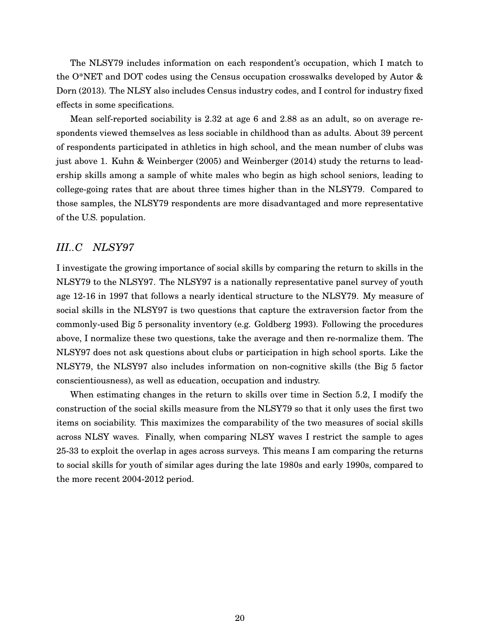The NLSY79 includes information on each respondent's occupation, which I match to the O\*NET and DOT codes using the Census occupation crosswalks developed by [Autor &](#page-30-5) [Dorn](#page-30-5) [\(2013\)](#page-30-5). The NLSY also includes Census industry codes, and I control for industry fixed effects in some specifications.

Mean self-reported sociability is 2.32 at age 6 and 2.88 as an adult, so on average respondents viewed themselves as less sociable in childhood than as adults. About 39 percent of respondents participated in athletics in high school, and the mean number of clubs was just above 1. [Kuhn & Weinberger](#page-34-8) [\(2005\)](#page-34-8) and [Weinberger](#page-36-2) [\(2014\)](#page-36-2) study the returns to leadership skills among a sample of white males who begin as high school seniors, leading to college-going rates that are about three times higher than in the NLSY79. Compared to those samples, the NLSY79 respondents are more disadvantaged and more representative of the U.S. population.

# *III..C NLSY97*

I investigate the growing importance of social skills by comparing the return to skills in the NLSY79 to the NLSY97. The NLSY97 is a nationally representative panel survey of youth age 12-16 in 1997 that follows a nearly identical structure to the NLSY79. My measure of social skills in the NLSY97 is two questions that capture the extraversion factor from the commonly-used Big 5 personality inventory (e.g. [Goldberg 1993\)](#page-33-11). Following the procedures above, I normalize these two questions, take the average and then re-normalize them. The NLSY97 does not ask questions about clubs or participation in high school sports. Like the NLSY79, the NLSY97 also includes information on non-cognitive skills (the Big 5 factor conscientiousness), as well as education, occupation and industry.

When estimating changes in the return to skills over time in Section 5.2, I modify the construction of the social skills measure from the NLSY79 so that it only uses the first two items on sociability. This maximizes the comparability of the two measures of social skills across NLSY waves. Finally, when comparing NLSY waves I restrict the sample to ages 25-33 to exploit the overlap in ages across surveys. This means I am comparing the returns to social skills for youth of similar ages during the late 1980s and early 1990s, compared to the more recent 2004-2012 period.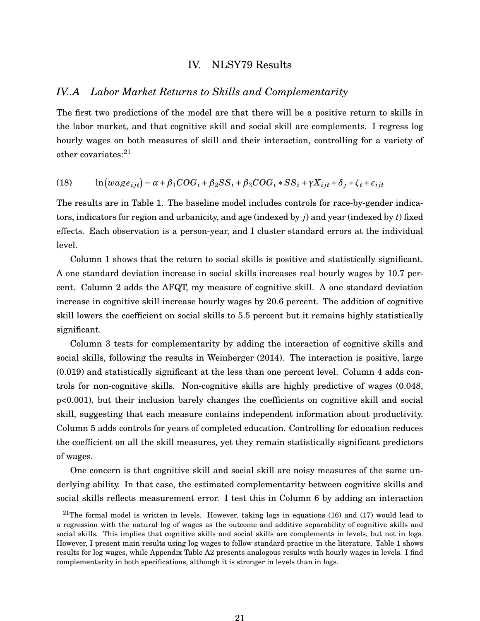#### IV. NLSY79 Results

# *IV..A Labor Market Returns to Skills and Complementarity*

The first two predictions of the model are that there will be a positive return to skills in the labor market, and that cognitive skill and social skill are complements. I regress log hourly wages on both measures of skill and their interaction, controlling for a variety of other covariates:<sup>[21](#page-20-0)</sup>

(18) 
$$
\ln(wage_{ijt}) = \alpha + \beta_1 COG_i + \beta_2 SS_i + \beta_3 COG_i * SS_i + \gamma X_{ijt} + \delta_j + \zeta_t + \epsilon_{ijt}
$$

The results are in Table 1. The baseline model includes controls for race-by-gender indicators, indicators for region and urbanicity, and age (indexed by *j*) and year (indexed by *t*) fixed effects. Each observation is a person-year, and I cluster standard errors at the individual level.

Column 1 shows that the return to social skills is positive and statistically significant. A one standard deviation increase in social skills increases real hourly wages by 10.7 percent. Column 2 adds the AFQT, my measure of cognitive skill. A one standard deviation increase in cognitive skill increase hourly wages by 20.6 percent. The addition of cognitive skill lowers the coefficient on social skills to 5.5 percent but it remains highly statistically significant.

Column 3 tests for complementarity by adding the interaction of cognitive skills and social skills, following the results in [Weinberger](#page-36-2) [\(2014\)](#page-36-2). The interaction is positive, large (0.019) and statistically significant at the less than one percent level. Column 4 adds controls for non-cognitive skills. Non-cognitive skills are highly predictive of wages (0.048, p<0.001), but their inclusion barely changes the coefficients on cognitive skill and social skill, suggesting that each measure contains independent information about productivity. Column 5 adds controls for years of completed education. Controlling for education reduces the coefficient on all the skill measures, yet they remain statistically significant predictors of wages.

One concern is that cognitive skill and social skill are noisy measures of the same underlying ability. In that case, the estimated complementarity between cognitive skills and social skills reflects measurement error. I test this in Column 6 by adding an interaction

<span id="page-20-0"></span><sup>&</sup>lt;sup>21</sup>The formal model is written in levels. However, taking logs in equations (16) and (17) would lead to a regression with the natural log of wages as the outcome and additive separability of cognitive skills and social skills. This implies that cognitive skills and social skills are complements in levels, but not in logs. However, I present main results using log wages to follow standard practice in the literature. Table 1 shows results for log wages, while Appendix Table A2 presents analogous results with hourly wages in levels. I find complementarity in both specifications, although it is stronger in levels than in logs.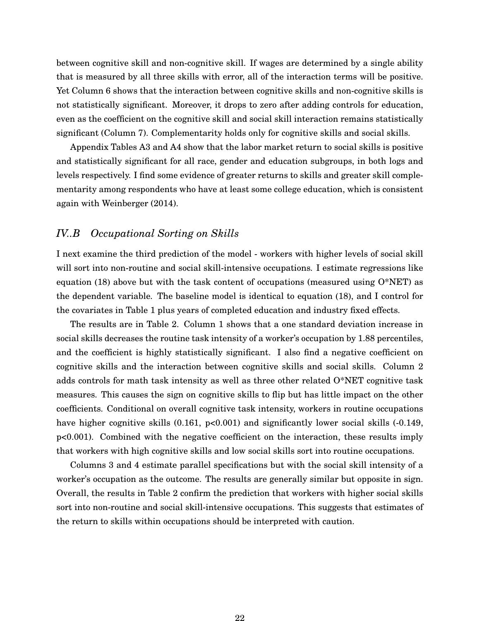between cognitive skill and non-cognitive skill. If wages are determined by a single ability that is measured by all three skills with error, all of the interaction terms will be positive. Yet Column 6 shows that the interaction between cognitive skills and non-cognitive skills is not statistically significant. Moreover, it drops to zero after adding controls for education, even as the coefficient on the cognitive skill and social skill interaction remains statistically significant (Column 7). Complementarity holds only for cognitive skills and social skills.

Appendix Tables A3 and A4 show that the labor market return to social skills is positive and statistically significant for all race, gender and education subgroups, in both logs and levels respectively. I find some evidence of greater returns to skills and greater skill complementarity among respondents who have at least some college education, which is consistent again with [Weinberger](#page-36-2) [\(2014\)](#page-36-2).

# *IV..B Occupational Sorting on Skills*

I next examine the third prediction of the model - workers with higher levels of social skill will sort into non-routine and social skill-intensive occupations. I estimate regressions like equation (18) above but with the task content of occupations (measured using  $O*NET$ ) as the dependent variable. The baseline model is identical to equation (18), and I control for the covariates in Table 1 plus years of completed education and industry fixed effects.

The results are in Table 2. Column 1 shows that a one standard deviation increase in social skills decreases the routine task intensity of a worker's occupation by 1.88 percentiles, and the coefficient is highly statistically significant. I also find a negative coefficient on cognitive skills and the interaction between cognitive skills and social skills. Column 2 adds controls for math task intensity as well as three other related  $O^*NET$  cognitive task measures. This causes the sign on cognitive skills to flip but has little impact on the other coefficients. Conditional on overall cognitive task intensity, workers in routine occupations have higher cognitive skills (0.161, p<0.001) and significantly lower social skills (-0.149, p<0.001). Combined with the negative coefficient on the interaction, these results imply that workers with high cognitive skills and low social skills sort into routine occupations.

Columns 3 and 4 estimate parallel specifications but with the social skill intensity of a worker's occupation as the outcome. The results are generally similar but opposite in sign. Overall, the results in Table 2 confirm the prediction that workers with higher social skills sort into non-routine and social skill-intensive occupations. This suggests that estimates of the return to skills within occupations should be interpreted with caution.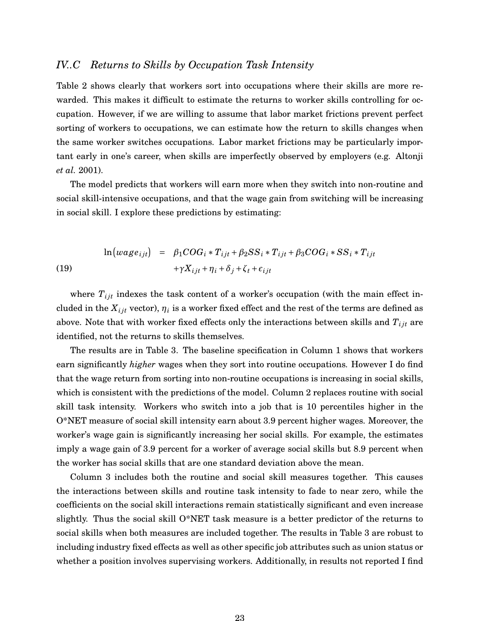# *IV..C Returns to Skills by Occupation Task Intensity*

Table 2 shows clearly that workers sort into occupations where their skills are more rewarded. This makes it difficult to estimate the returns to worker skills controlling for occupation. However, if we are willing to assume that labor market frictions prevent perfect sorting of workers to occupations, we can estimate how the return to skills changes when the same worker switches occupations. Labor market frictions may be particularly important early in one's career, when skills are imperfectly observed by employers (e.g. [Altonji](#page-30-10) *[et al.](#page-30-10)* [2001\)](#page-30-10).

The model predicts that workers will earn more when they switch into non-routine and social skill-intensive occupations, and that the wage gain from switching will be increasing in social skill. I explore these predictions by estimating:

(19) 
$$
\ln\left(wage_{ijt}\right) = \beta_1 COG_i * T_{ijt} + \beta_2 SS_i * T_{ijt} + \beta_3 COG_i * SS_i * T_{ijt} + \gamma X_{ijt} + \eta_i + \delta_j + \zeta_t + \epsilon_{ijt}
$$

where  $T_{ijt}$  indexes the task content of a worker's occupation (with the main effect included in the  $X_{ijt}$  vector),  $\eta_i$  is a worker fixed effect and the rest of the terms are defined as above. Note that with worker fixed effects only the interactions between skills and  $T_{ijt}$  are identified, not the returns to skills themselves.

The results are in Table 3. The baseline specification in Column 1 shows that workers earn significantly *higher* wages when they sort into routine occupations. However I do find that the wage return from sorting into non-routine occupations is increasing in social skills, which is consistent with the predictions of the model. Column 2 replaces routine with social skill task intensity. Workers who switch into a job that is 10 percentiles higher in the O\*NET measure of social skill intensity earn about 3.9 percent higher wages. Moreover, the worker's wage gain is significantly increasing her social skills. For example, the estimates imply a wage gain of 3.9 percent for a worker of average social skills but 8.9 percent when the worker has social skills that are one standard deviation above the mean.

Column 3 includes both the routine and social skill measures together. This causes the interactions between skills and routine task intensity to fade to near zero, while the coefficients on the social skill interactions remain statistically significant and even increase slightly. Thus the social skill O\*NET task measure is a better predictor of the returns to social skills when both measures are included together. The results in Table 3 are robust to including industry fixed effects as well as other specific job attributes such as union status or whether a position involves supervising workers. Additionally, in results not reported I find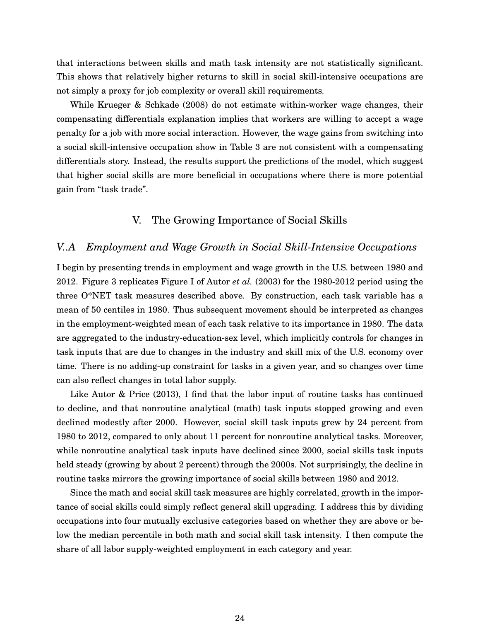that interactions between skills and math task intensity are not statistically significant. This shows that relatively higher returns to skill in social skill-intensive occupations are not simply a proxy for job complexity or overall skill requirements.

While [Krueger & Schkade](#page-34-3) [\(2008\)](#page-34-3) do not estimate within-worker wage changes, their compensating differentials explanation implies that workers are willing to accept a wage penalty for a job with more social interaction. However, the wage gains from switching into a social skill-intensive occupation show in Table 3 are not consistent with a compensating differentials story. Instead, the results support the predictions of the model, which suggest that higher social skills are more beneficial in occupations where there is more potential gain from "task trade".

# V. The Growing Importance of Social Skills

#### *V..A Employment and Wage Growth in Social Skill-Intensive Occupations*

I begin by presenting trends in employment and wage growth in the U.S. between 1980 and 2012. Figure 3 replicates Figure I of [Autor](#page-30-1) *et al.* [\(2003\)](#page-30-1) for the 1980-2012 period using the three O\*NET task measures described above. By construction, each task variable has a mean of 50 centiles in 1980. Thus subsequent movement should be interpreted as changes in the employment-weighted mean of each task relative to its importance in 1980. The data are aggregated to the industry-education-sex level, which implicitly controls for changes in task inputs that are due to changes in the industry and skill mix of the U.S. economy over time. There is no adding-up constraint for tasks in a given year, and so changes over time can also reflect changes in total labor supply.

Like [Autor & Price](#page-30-11) [\(2013\)](#page-30-11), I find that the labor input of routine tasks has continued to decline, and that nonroutine analytical (math) task inputs stopped growing and even declined modestly after 2000. However, social skill task inputs grew by 24 percent from 1980 to 2012, compared to only about 11 percent for nonroutine analytical tasks. Moreover, while nonroutine analytical task inputs have declined since 2000, social skills task inputs held steady (growing by about 2 percent) through the 2000s. Not surprisingly, the decline in routine tasks mirrors the growing importance of social skills between 1980 and 2012.

Since the math and social skill task measures are highly correlated, growth in the importance of social skills could simply reflect general skill upgrading. I address this by dividing occupations into four mutually exclusive categories based on whether they are above or below the median percentile in both math and social skill task intensity. I then compute the share of all labor supply-weighted employment in each category and year.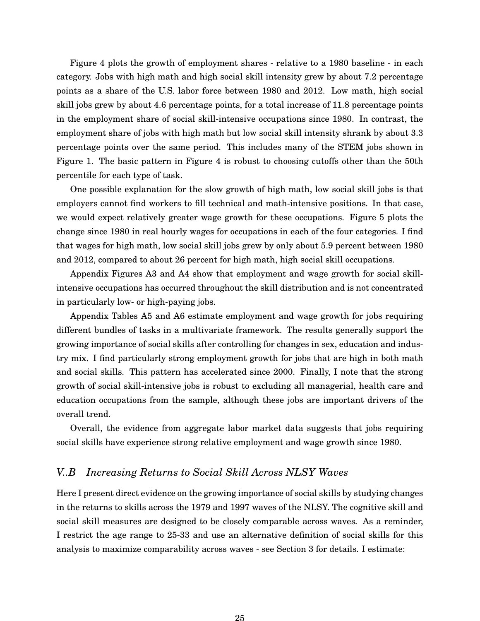Figure 4 plots the growth of employment shares - relative to a 1980 baseline - in each category. Jobs with high math and high social skill intensity grew by about 7.2 percentage points as a share of the U.S. labor force between 1980 and 2012. Low math, high social skill jobs grew by about 4.6 percentage points, for a total increase of 11.8 percentage points in the employment share of social skill-intensive occupations since 1980. In contrast, the employment share of jobs with high math but low social skill intensity shrank by about 3.3 percentage points over the same period. This includes many of the STEM jobs shown in Figure 1. The basic pattern in Figure 4 is robust to choosing cutoffs other than the 50th percentile for each type of task.

One possible explanation for the slow growth of high math, low social skill jobs is that employers cannot find workers to fill technical and math-intensive positions. In that case, we would expect relatively greater wage growth for these occupations. Figure 5 plots the change since 1980 in real hourly wages for occupations in each of the four categories. I find that wages for high math, low social skill jobs grew by only about 5.9 percent between 1980 and 2012, compared to about 26 percent for high math, high social skill occupations.

Appendix Figures A3 and A4 show that employment and wage growth for social skillintensive occupations has occurred throughout the skill distribution and is not concentrated in particularly low- or high-paying jobs.

Appendix Tables A5 and A6 estimate employment and wage growth for jobs requiring different bundles of tasks in a multivariate framework. The results generally support the growing importance of social skills after controlling for changes in sex, education and industry mix. I find particularly strong employment growth for jobs that are high in both math and social skills. This pattern has accelerated since 2000. Finally, I note that the strong growth of social skill-intensive jobs is robust to excluding all managerial, health care and education occupations from the sample, although these jobs are important drivers of the overall trend.

Overall, the evidence from aggregate labor market data suggests that jobs requiring social skills have experience strong relative employment and wage growth since 1980.

# *V..B Increasing Returns to Social Skill Across NLSY Waves*

Here I present direct evidence on the growing importance of social skills by studying changes in the returns to skills across the 1979 and 1997 waves of the NLSY. The cognitive skill and social skill measures are designed to be closely comparable across waves. As a reminder, I restrict the age range to 25-33 and use an alternative definition of social skills for this analysis to maximize comparability across waves - see Section 3 for details. I estimate: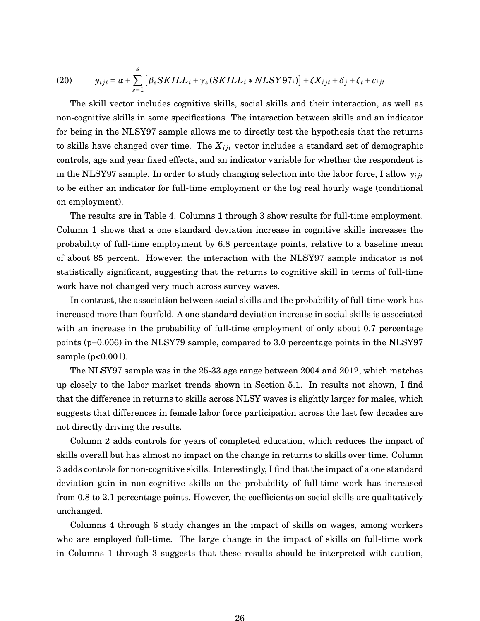(20) 
$$
y_{ijt} = \alpha + \sum_{s=1}^{S} [\beta_s SKILL_i + \gamma_s (SKILL_i * NLSY97_i)] + \zeta X_{ijt} + \delta_j + \zeta_t + \epsilon_{ijt}
$$

The skill vector includes cognitive skills, social skills and their interaction, as well as non-cognitive skills in some specifications. The interaction between skills and an indicator for being in the NLSY97 sample allows me to directly test the hypothesis that the returns to skills have changed over time. The *Xi jt* vector includes a standard set of demographic controls, age and year fixed effects, and an indicator variable for whether the respondent is in the NLSY97 sample. In order to study changing selection into the labor force, I allow  $y_{ij}$ to be either an indicator for full-time employment or the log real hourly wage (conditional on employment).

The results are in Table 4. Columns 1 through 3 show results for full-time employment. Column 1 shows that a one standard deviation increase in cognitive skills increases the probability of full-time employment by 6.8 percentage points, relative to a baseline mean of about 85 percent. However, the interaction with the NLSY97 sample indicator is not statistically significant, suggesting that the returns to cognitive skill in terms of full-time work have not changed very much across survey waves.

In contrast, the association between social skills and the probability of full-time work has increased more than fourfold. A one standard deviation increase in social skills is associated with an increase in the probability of full-time employment of only about 0.7 percentage points (p=0.006) in the NLSY79 sample, compared to 3.0 percentage points in the NLSY97 sample (p<0.001).

The NLSY97 sample was in the 25-33 age range between 2004 and 2012, which matches up closely to the labor market trends shown in Section 5.1. In results not shown, I find that the difference in returns to skills across NLSY waves is slightly larger for males, which suggests that differences in female labor force participation across the last few decades are not directly driving the results.

Column 2 adds controls for years of completed education, which reduces the impact of skills overall but has almost no impact on the change in returns to skills over time. Column 3 adds controls for non-cognitive skills. Interestingly, I find that the impact of a one standard deviation gain in non-cognitive skills on the probability of full-time work has increased from 0.8 to 2.1 percentage points. However, the coefficients on social skills are qualitatively unchanged.

Columns 4 through 6 study changes in the impact of skills on wages, among workers who are employed full-time. The large change in the impact of skills on full-time work in Columns 1 through 3 suggests that these results should be interpreted with caution,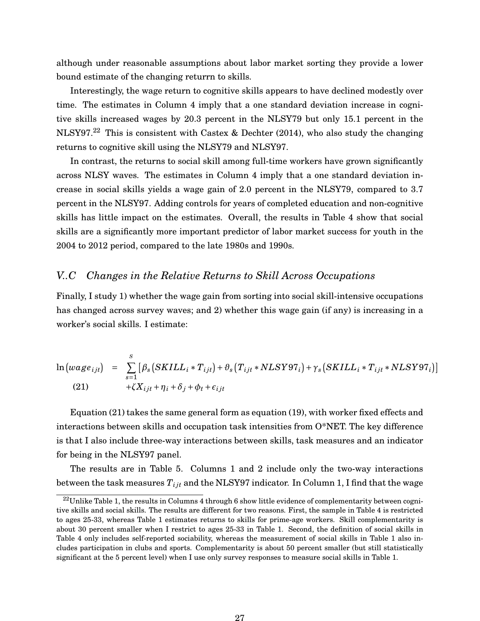although under reasonable assumptions about labor market sorting they provide a lower bound estimate of the changing returrn to skills.

Interestingly, the wage return to cognitive skills appears to have declined modestly over time. The estimates in Column 4 imply that a one standard deviation increase in cognitive skills increased wages by 20.3 percent in the NLSY79 but only 15.1 percent in the NLSY97.<sup>[22](#page-26-0)</sup> This is consistent with [Castex & Dechter](#page-32-0) [\(2014\)](#page-32-0), who also study the changing returns to cognitive skill using the NLSY79 and NLSY97.

In contrast, the returns to social skill among full-time workers have grown significantly across NLSY waves. The estimates in Column 4 imply that a one standard deviation increase in social skills yields a wage gain of 2.0 percent in the NLSY79, compared to 3.7 percent in the NLSY97. Adding controls for years of completed education and non-cognitive skills has little impact on the estimates. Overall, the results in Table 4 show that social skills are a significantly more important predictor of labor market success for youth in the 2004 to 2012 period, compared to the late 1980s and 1990s.

# *V..C Changes in the Relative Returns to Skill Across Occupations*

Finally, I study 1) whether the wage gain from sorting into social skill-intensive occupations has changed across survey waves; and 2) whether this wage gain (if any) is increasing in a worker's social skills. I estimate:

$$
\ln(wage_{ijt}) = \sum_{s=1}^{S} [\beta_s(SKILL_i * T_{ijt}) + \vartheta_s(T_{ijt} * NLSY97_i) + \gamma_s(SKILL_i * T_{ijt} * NLSY97_i)]
$$
  
(21) 
$$
+ \zeta X_{ijt} + \eta_i + \delta_j + \phi_t + \epsilon_{ijt}
$$

Equation (21) takes the same general form as equation (19), with worker fixed effects and interactions between skills and occupation task intensities from O\*NET. The key difference is that I also include three-way interactions between skills, task measures and an indicator for being in the NLSY97 panel.

The results are in Table 5. Columns 1 and 2 include only the two-way interactions between the task measures  $T_{ijt}$  and the NLSY97 indicator. In Column 1, I find that the wage

<span id="page-26-0"></span> $^{22}$ Unlike Table 1, the results in Columns 4 through 6 show little evidence of complementarity between cognitive skills and social skills. The results are different for two reasons. First, the sample in Table 4 is restricted to ages 25-33, whereas Table 1 estimates returns to skills for prime-age workers. Skill complementarity is about 30 percent smaller when I restrict to ages 25-33 in Table 1. Second, the definition of social skills in Table 4 only includes self-reported sociability, whereas the measurement of social skills in Table 1 also includes participation in clubs and sports. Complementarity is about 50 percent smaller (but still statistically significant at the 5 percent level) when I use only survey responses to measure social skills in Table 1.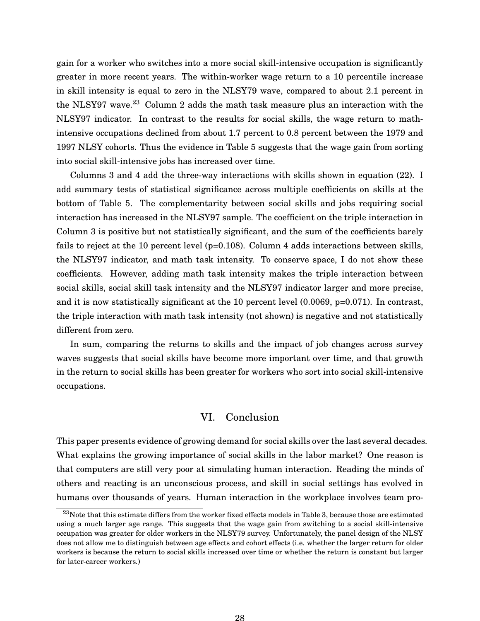gain for a worker who switches into a more social skill-intensive occupation is significantly greater in more recent years. The within-worker wage return to a 10 percentile increase in skill intensity is equal to zero in the NLSY79 wave, compared to about 2.1 percent in the NLSY97 wave. $^{23}$  $^{23}$  $^{23}$  Column 2 adds the math task measure plus an interaction with the NLSY97 indicator. In contrast to the results for social skills, the wage return to mathintensive occupations declined from about 1.7 percent to 0.8 percent between the 1979 and 1997 NLSY cohorts. Thus the evidence in Table 5 suggests that the wage gain from sorting into social skill-intensive jobs has increased over time.

Columns 3 and 4 add the three-way interactions with skills shown in equation (22). I add summary tests of statistical significance across multiple coefficients on skills at the bottom of Table 5. The complementarity between social skills and jobs requiring social interaction has increased in the NLSY97 sample. The coefficient on the triple interaction in Column 3 is positive but not statistically significant, and the sum of the coefficients barely fails to reject at the 10 percent level (p=0.108). Column 4 adds interactions between skills, the NLSY97 indicator, and math task intensity. To conserve space, I do not show these coefficients. However, adding math task intensity makes the triple interaction between social skills, social skill task intensity and the NLSY97 indicator larger and more precise, and it is now statistically significant at the 10 percent level  $(0.0069, p=0.071)$ . In contrast, the triple interaction with math task intensity (not shown) is negative and not statistically different from zero.

In sum, comparing the returns to skills and the impact of job changes across survey waves suggests that social skills have become more important over time, and that growth in the return to social skills has been greater for workers who sort into social skill-intensive occupations.

#### VI. Conclusion

This paper presents evidence of growing demand for social skills over the last several decades. What explains the growing importance of social skills in the labor market? One reason is that computers are still very poor at simulating human interaction. Reading the minds of others and reacting is an unconscious process, and skill in social settings has evolved in humans over thousands of years. Human interaction in the workplace involves team pro-

<span id="page-27-0"></span> $^{23}$ Note that this estimate differs from the worker fixed effects models in Table 3, because those are estimated using a much larger age range. This suggests that the wage gain from switching to a social skill-intensive occupation was greater for older workers in the NLSY79 survey. Unfortunately, the panel design of the NLSY does not allow me to distinguish between age effects and cohort effects (i.e. whether the larger return for older workers is because the return to social skills increased over time or whether the return is constant but larger for later-career workers.)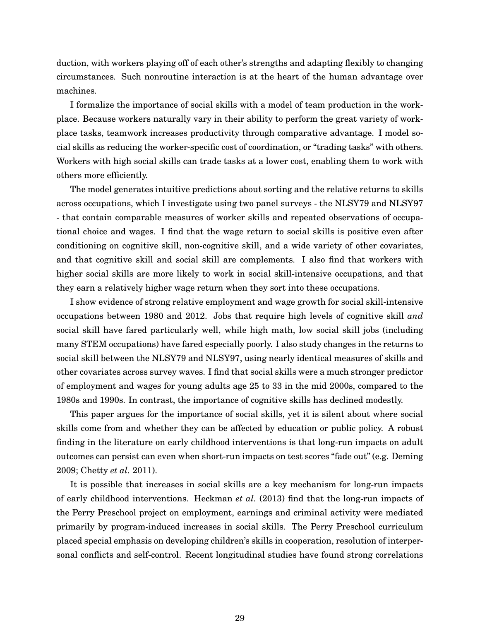duction, with workers playing off of each other's strengths and adapting flexibly to changing circumstances. Such nonroutine interaction is at the heart of the human advantage over machines.

I formalize the importance of social skills with a model of team production in the workplace. Because workers naturally vary in their ability to perform the great variety of workplace tasks, teamwork increases productivity through comparative advantage. I model social skills as reducing the worker-specific cost of coordination, or "trading tasks" with others. Workers with high social skills can trade tasks at a lower cost, enabling them to work with others more efficiently.

The model generates intuitive predictions about sorting and the relative returns to skills across occupations, which I investigate using two panel surveys - the NLSY79 and NLSY97 - that contain comparable measures of worker skills and repeated observations of occupational choice and wages. I find that the wage return to social skills is positive even after conditioning on cognitive skill, non-cognitive skill, and a wide variety of other covariates, and that cognitive skill and social skill are complements. I also find that workers with higher social skills are more likely to work in social skill-intensive occupations, and that they earn a relatively higher wage return when they sort into these occupations.

I show evidence of strong relative employment and wage growth for social skill-intensive occupations between 1980 and 2012. Jobs that require high levels of cognitive skill *and* social skill have fared particularly well, while high math, low social skill jobs (including many STEM occupations) have fared especially poorly. I also study changes in the returns to social skill between the NLSY79 and NLSY97, using nearly identical measures of skills and other covariates across survey waves. I find that social skills were a much stronger predictor of employment and wages for young adults age 25 to 33 in the mid 2000s, compared to the 1980s and 1990s. In contrast, the importance of cognitive skills has declined modestly.

This paper argues for the importance of social skills, yet it is silent about where social skills come from and whether they can be affected by education or public policy. A robust finding in the literature on early childhood interventions is that long-run impacts on adult outcomes can persist can even when short-run impacts on test scores "fade out" (e.g. [Deming](#page-32-10) [2009;](#page-32-10) [Chetty](#page-32-11) *et al.* [2011\)](#page-32-11).

It is possible that increases in social skills are a key mechanism for long-run impacts of early childhood interventions. [Heckman](#page-34-12) *et al.* [\(2013\)](#page-34-12) find that the long-run impacts of the Perry Preschool project on employment, earnings and criminal activity were mediated primarily by program-induced increases in social skills. The Perry Preschool curriculum placed special emphasis on developing children's skills in cooperation, resolution of interpersonal conflicts and self-control. Recent longitudinal studies have found strong correlations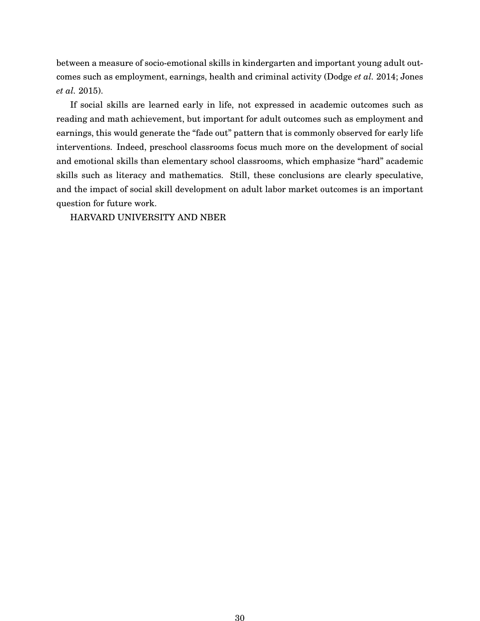between a measure of socio-emotional skills in kindergarten and important young adult outcomes such as employment, earnings, health and criminal activity [\(Dodge](#page-33-12) *et al.* [2014;](#page-33-12) [Jones](#page-34-13) *[et al.](#page-34-13)* [2015\)](#page-34-13).

If social skills are learned early in life, not expressed in academic outcomes such as reading and math achievement, but important for adult outcomes such as employment and earnings, this would generate the "fade out" pattern that is commonly observed for early life interventions. Indeed, preschool classrooms focus much more on the development of social and emotional skills than elementary school classrooms, which emphasize "hard" academic skills such as literacy and mathematics. Still, these conclusions are clearly speculative, and the impact of social skill development on adult labor market outcomes is an important question for future work.

HARVARD UNIVERSITY AND NBER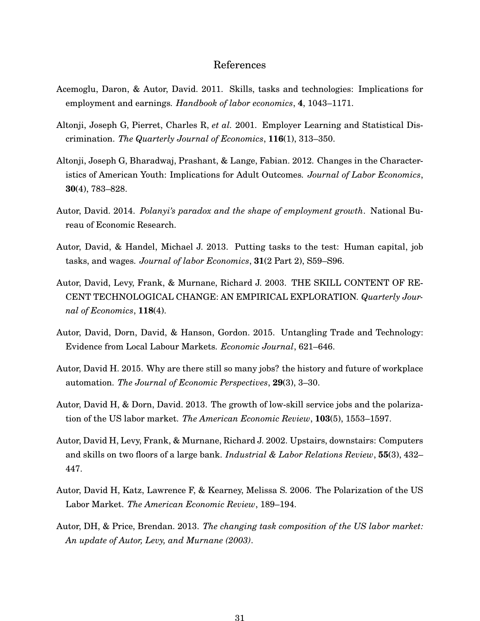#### References

- <span id="page-30-0"></span>Acemoglu, Daron, & Autor, David. 2011. Skills, tasks and technologies: Implications for employment and earnings. *Handbook of labor economics*, **4**, 1043–1171.
- <span id="page-30-10"></span>Altonji, Joseph G, Pierret, Charles R, *et al.* 2001. Employer Learning and Statistical Discrimination. *The Quarterly Journal of Economics*, **116**(1), 313–350.
- <span id="page-30-9"></span>Altonji, Joseph G, Bharadwaj, Prashant, & Lange, Fabian. 2012. Changes in the Characteristics of American Youth: Implications for Adult Outcomes. *Journal of Labor Economics*, **30**(4), 783–828.
- <span id="page-30-3"></span>Autor, David. 2014. *Polanyi's paradox and the shape of employment growth*. National Bureau of Economic Research.
- <span id="page-30-8"></span>Autor, David, & Handel, Michael J. 2013. Putting tasks to the test: Human capital, job tasks, and wages. *Journal of labor Economics*, **31**(2 Part 2), S59–S96.
- <span id="page-30-1"></span>Autor, David, Levy, Frank, & Murnane, Richard J. 2003. THE SKILL CONTENT OF RE-CENT TECHNOLOGICAL CHANGE: AN EMPIRICAL EXPLORATION. *Quarterly Journal of Economics*, **118**(4).
- <span id="page-30-7"></span>Autor, David, Dorn, David, & Hanson, Gordon. 2015. Untangling Trade and Technology: Evidence from Local Labour Markets. *Economic Journal*, 621–646.
- <span id="page-30-4"></span>Autor, David H. 2015. Why are there still so many jobs? the history and future of workplace automation. *The Journal of Economic Perspectives*, **29**(3), 3–30.
- <span id="page-30-5"></span>Autor, David H, & Dorn, David. 2013. The growth of low-skill service jobs and the polarization of the US labor market. *The American Economic Review*, **103**(5), 1553–1597.
- <span id="page-30-6"></span>Autor, David H, Levy, Frank, & Murnane, Richard J. 2002. Upstairs, downstairs: Computers and skills on two floors of a large bank. *Industrial & Labor Relations Review*, **55**(3), 432– 447.
- <span id="page-30-2"></span>Autor, David H, Katz, Lawrence F, & Kearney, Melissa S. 2006. The Polarization of the US Labor Market. *The American Economic Review*, 189–194.
- <span id="page-30-11"></span>Autor, DH, & Price, Brendan. 2013. *The changing task composition of the US labor market: An update of Autor, Levy, and Murnane (2003)*.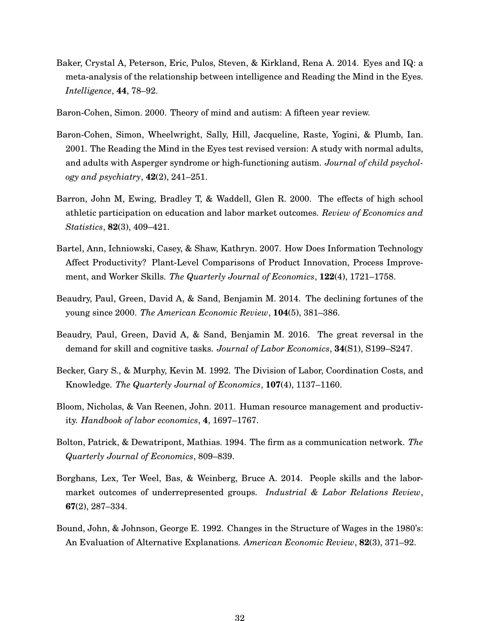- <span id="page-31-11"></span>Baker, Crystal A, Peterson, Eric, Pulos, Steven, & Kirkland, Rena A. 2014. Eyes and IQ: a meta-analysis of the relationship between intelligence and Reading the Mind in the Eyes. *Intelligence*, **44**, 78–92.
- <span id="page-31-3"></span>Baron-Cohen, Simon. 2000. Theory of mind and autism: A fifteen year review.
- <span id="page-31-9"></span>Baron-Cohen, Simon, Wheelwright, Sally, Hill, Jacqueline, Raste, Yogini, & Plumb, Ian. 2001. The Reading the Mind in the Eyes test revised version: A study with normal adults, and adults with Asperger syndrome or high-functioning autism. *Journal of child psychology and psychiatry*, **42**(2), 241–251.
- <span id="page-31-10"></span>Barron, John M, Ewing, Bradley T, & Waddell, Glen R. 2000. The effects of high school athletic participation on education and labor market outcomes. *Review of Economics and Statistics*, **82**(3), 409–421.
- <span id="page-31-7"></span>Bartel, Ann, Ichniowski, Casey, & Shaw, Kathryn. 2007. How Does Information Technology Affect Productivity? Plant-Level Comparisons of Product Innovation, Process Improvement, and Worker Skills. *The Quarterly Journal of Economics*, **122**(4), 1721–1758.
- <span id="page-31-1"></span>Beaudry, Paul, Green, David A, & Sand, Benjamin M. 2014. The declining fortunes of the young since 2000. *The American Economic Review*, **104**(5), 381–386.
- <span id="page-31-2"></span>Beaudry, Paul, Green, David A, & Sand, Benjamin M. 2016. The great reversal in the demand for skill and cognitive tasks. *Journal of Labor Economics*, **34**(S1), S199–S247.
- <span id="page-31-5"></span>Becker, Gary S., & Murphy, Kevin M. 1992. The Division of Labor, Coordination Costs, and Knowledge. *The Quarterly Journal of Economics*, **107**(4), 1137–1160.
- <span id="page-31-4"></span>Bloom, Nicholas, & Van Reenen, John. 2011. Human resource management and productivity. *Handbook of labor economics*, **4**, 1697–1767.
- <span id="page-31-6"></span>Bolton, Patrick, & Dewatripont, Mathias. 1994. The firm as a communication network. *The Quarterly Journal of Economics*, 809–839.
- <span id="page-31-8"></span>Borghans, Lex, Ter Weel, Bas, & Weinberg, Bruce A. 2014. People skills and the labormarket outcomes of underrepresented groups. *Industrial & Labor Relations Review*, **67**(2), 287–334.
- <span id="page-31-0"></span>Bound, John, & Johnson, George E. 1992. Changes in the Structure of Wages in the 1980's: An Evaluation of Alternative Explanations. *American Economic Review*, **82**(3), 371–92.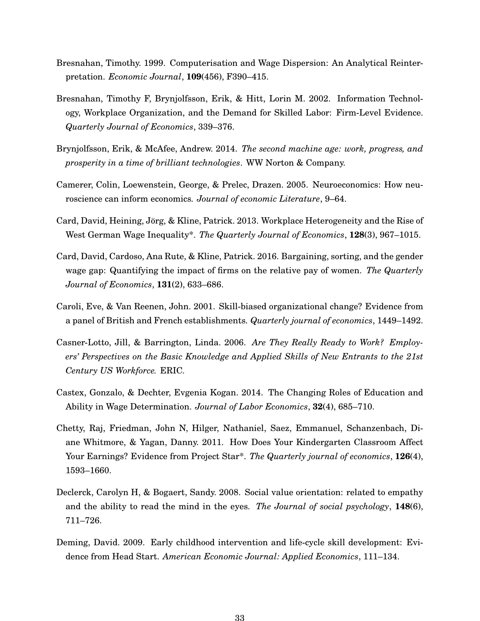- <span id="page-32-5"></span>Bresnahan, Timothy. 1999. Computerisation and Wage Dispersion: An Analytical Reinterpretation. *Economic Journal*, **109**(456), F390–415.
- <span id="page-32-7"></span>Bresnahan, Timothy F, Brynjolfsson, Erik, & Hitt, Lorin M. 2002. Information Technology, Workplace Organization, and the Demand for Skilled Labor: Firm-Level Evidence. *Quarterly Journal of Economics*, 339–376.
- <span id="page-32-3"></span>Brynjolfsson, Erik, & McAfee, Andrew. 2014. *The second machine age: work, progress, and prosperity in a time of brilliant technologies*. WW Norton & Company.
- <span id="page-32-4"></span>Camerer, Colin, Loewenstein, George, & Prelec, Drazen. 2005. Neuroeconomics: How neuroscience can inform economics. *Journal of economic Literature*, 9–64.
- <span id="page-32-1"></span>Card, David, Heining, Jörg, & Kline, Patrick. 2013. Workplace Heterogeneity and the Rise of West German Wage Inequality\*. *The Quarterly Journal of Economics*, **128**(3), 967–1015.
- <span id="page-32-2"></span>Card, David, Cardoso, Ana Rute, & Kline, Patrick. 2016. Bargaining, sorting, and the gender wage gap: Quantifying the impact of firms on the relative pay of women. *The Quarterly Journal of Economics*, **131**(2), 633–686.
- <span id="page-32-6"></span>Caroli, Eve, & Van Reenen, John. 2001. Skill-biased organizational change? Evidence from a panel of British and French establishments. *Quarterly journal of economics*, 1449–1492.
- <span id="page-32-8"></span>Casner-Lotto, Jill, & Barrington, Linda. 2006. *Are They Really Ready to Work? Employers' Perspectives on the Basic Knowledge and Applied Skills of New Entrants to the 21st Century US Workforce.* ERIC.
- <span id="page-32-0"></span>Castex, Gonzalo, & Dechter, Evgenia Kogan. 2014. The Changing Roles of Education and Ability in Wage Determination. *Journal of Labor Economics*, **32**(4), 685–710.
- <span id="page-32-11"></span>Chetty, Raj, Friedman, John N, Hilger, Nathaniel, Saez, Emmanuel, Schanzenbach, Diane Whitmore, & Yagan, Danny. 2011. How Does Your Kindergarten Classroom Affect Your Earnings? Evidence from Project Star\*. *The Quarterly journal of economics*, **126**(4), 1593–1660.
- <span id="page-32-9"></span>Declerck, Carolyn H, & Bogaert, Sandy. 2008. Social value orientation: related to empathy and the ability to read the mind in the eyes. *The Journal of social psychology*, **148**(6), 711–726.
- <span id="page-32-10"></span>Deming, David. 2009. Early childhood intervention and life-cycle skill development: Evidence from Head Start. *American Economic Journal: Applied Economics*, 111–134.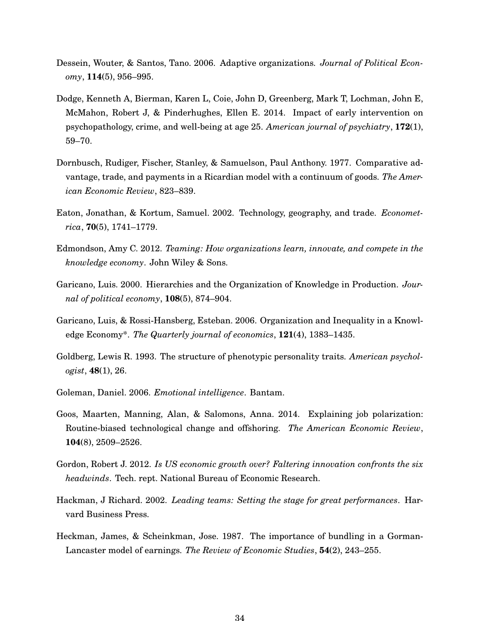- <span id="page-33-10"></span>Dessein, Wouter, & Santos, Tano. 2006. Adaptive organizations. *Journal of Political Economy*, **114**(5), 956–995.
- <span id="page-33-12"></span>Dodge, Kenneth A, Bierman, Karen L, Coie, John D, Greenberg, Mark T, Lochman, John E, McMahon, Robert J, & Pinderhughes, Ellen E. 2014. Impact of early intervention on psychopathology, crime, and well-being at age 25. *American journal of psychiatry*, **172**(1), 59–70.
- <span id="page-33-2"></span>Dornbusch, Rudiger, Fischer, Stanley, & Samuelson, Paul Anthony. 1977. Comparative advantage, trade, and payments in a Ricardian model with a continuum of goods. *The American Economic Review*, 823–839.
- <span id="page-33-3"></span>Eaton, Jonathan, & Kortum, Samuel. 2002. Technology, geography, and trade. *Econometrica*, **70**(5), 1741–1779.
- <span id="page-33-8"></span>Edmondson, Amy C. 2012. *Teaming: How organizations learn, innovate, and compete in the knowledge economy*. John Wiley & Sons.
- <span id="page-33-4"></span>Garicano, Luis. 2000. Hierarchies and the Organization of Knowledge in Production. *Journal of political economy*, **108**(5), 874–904.
- <span id="page-33-5"></span>Garicano, Luis, & Rossi-Hansberg, Esteban. 2006. Organization and Inequality in a Knowledge Economy\*. *The Quarterly journal of economics*, **121**(4), 1383–1435.
- <span id="page-33-11"></span>Goldberg, Lewis R. 1993. The structure of phenotypic personality traits. *American psychologist*, **48**(1), 26.
- <span id="page-33-9"></span>Goleman, Daniel. 2006. *Emotional intelligence*. Bantam.
- <span id="page-33-0"></span>Goos, Maarten, Manning, Alan, & Salomons, Anna. 2014. Explaining job polarization: Routine-biased technological change and offshoring. *The American Economic Review*, **104**(8), 2509–2526.
- <span id="page-33-1"></span>Gordon, Robert J. 2012. *Is US economic growth over? Faltering innovation confronts the six headwinds*. Tech. rept. National Bureau of Economic Research.
- <span id="page-33-7"></span>Hackman, J Richard. 2002. *Leading teams: Setting the stage for great performances*. Harvard Business Press.
- <span id="page-33-6"></span>Heckman, James, & Scheinkman, Jose. 1987. The importance of bundling in a Gorman-Lancaster model of earnings. *The Review of Economic Studies*, **54**(2), 243–255.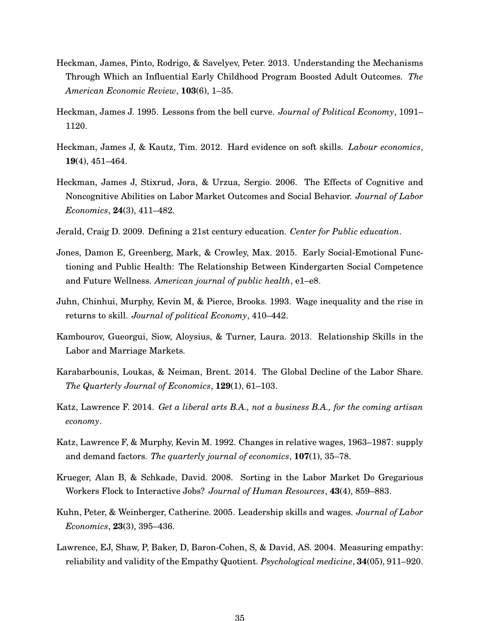- <span id="page-34-12"></span>Heckman, James, Pinto, Rodrigo, & Savelyev, Peter. 2013. Understanding the Mechanisms Through Which an Influential Early Childhood Program Boosted Adult Outcomes. *The American Economic Review*, **103**(6), 1–35.
- <span id="page-34-9"></span>Heckman, James J. 1995. Lessons from the bell curve. *Journal of Political Economy*, 1091– 1120.
- <span id="page-34-10"></span>Heckman, James J, & Kautz, Tim. 2012. Hard evidence on soft skills. *Labour economics*, **19**(4), 451–464.
- <span id="page-34-2"></span>Heckman, James J, Stixrud, Jora, & Urzua, Sergio. 2006. The Effects of Cognitive and Noncognitive Abilities on Labor Market Outcomes and Social Behavior. *Journal of Labor Economics*, **24**(3), 411–482.
- <span id="page-34-7"></span>Jerald, Craig D. 2009. Defining a 21st century education. *Center for Public education*.
- <span id="page-34-13"></span>Jones, Damon E, Greenberg, Mark, & Crowley, Max. 2015. Early Social-Emotional Functioning and Public Health: The Relationship Between Kindergarten Social Competence and Future Wellness. *American journal of public health*, e1–e8.
- <span id="page-34-1"></span>Juhn, Chinhui, Murphy, Kevin M, & Pierce, Brooks. 1993. Wage inequality and the rise in returns to skill. *Journal of political Economy*, 410–442.
- <span id="page-34-4"></span>Kambourov, Gueorgui, Siow, Aloysius, & Turner, Laura. 2013. Relationship Skills in the Labor and Marriage Markets.
- <span id="page-34-5"></span>Karabarbounis, Loukas, & Neiman, Brent. 2014. The Global Decline of the Labor Share. *The Quarterly Journal of Economics*, **129**(1), 61–103.
- <span id="page-34-6"></span>Katz, Lawrence F. 2014. *Get a liberal arts B.A., not a business B.A., for the coming artisan economy*.
- <span id="page-34-0"></span>Katz, Lawrence F, & Murphy, Kevin M. 1992. Changes in relative wages, 1963–1987: supply and demand factors. *The quarterly journal of economics*, **107**(1), 35–78.
- <span id="page-34-3"></span>Krueger, Alan B, & Schkade, David. 2008. Sorting in the Labor Market Do Gregarious Workers Flock to Interactive Jobs? *Journal of Human Resources*, **43**(4), 859–883.
- <span id="page-34-8"></span>Kuhn, Peter, & Weinberger, Catherine. 2005. Leadership skills and wages. *Journal of Labor Economics*, **23**(3), 395–436.
- <span id="page-34-11"></span>Lawrence, EJ, Shaw, P, Baker, D, Baron-Cohen, S, & David, AS. 2004. Measuring empathy: reliability and validity of the Empathy Quotient. *Psychological medicine*, **34**(05), 911–920.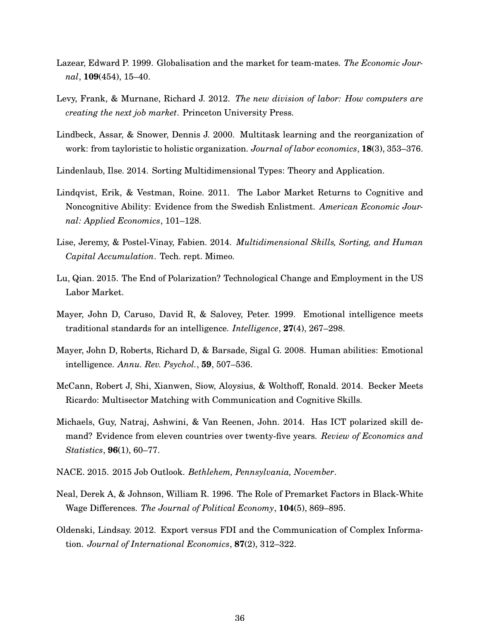- <span id="page-35-4"></span>Lazear, Edward P. 1999. Globalisation and the market for team-mates. *The Economic Journal*, **109**(454), 15–40.
- <span id="page-35-1"></span>Levy, Frank, & Murnane, Richard J. 2012. *The new division of labor: How computers are creating the next job market*. Princeton University Press.
- <span id="page-35-3"></span>Lindbeck, Assar, & Snower, Dennis J. 2000. Multitask learning and the reorganization of work: from tayloristic to holistic organization. *Journal of labor economics*, **18**(3), 353–376.
- <span id="page-35-5"></span>Lindenlaub, Ilse. 2014. Sorting Multidimensional Types: Theory and Application.
- <span id="page-35-11"></span>Lindqvist, Erik, & Vestman, Roine. 2011. The Labor Market Returns to Cognitive and Noncognitive Ability: Evidence from the Swedish Enlistment. *American Economic Journal: Applied Economics*, 101–128.
- <span id="page-35-6"></span>Lise, Jeremy, & Postel-Vinay, Fabien. 2014. *Multidimensional Skills, Sorting, and Human Capital Accumulation*. Tech. rept. Mimeo.
- <span id="page-35-2"></span>Lu, Qian. 2015. The End of Polarization? Technological Change and Employment in the US Labor Market.
- <span id="page-35-10"></span>Mayer, John D, Caruso, David R, & Salovey, Peter. 1999. Emotional intelligence meets traditional standards for an intelligence. *Intelligence*, **27**(4), 267–298.
- <span id="page-35-13"></span>Mayer, John D, Roberts, Richard D, & Barsade, Sigal G. 2008. Human abilities: Emotional intelligence. *Annu. Rev. Psychol.*, **59**, 507–536.
- <span id="page-35-8"></span>McCann, Robert J, Shi, Xianwen, Siow, Aloysius, & Wolthoff, Ronald. 2014. Becker Meets Ricardo: Multisector Matching with Communication and Cognitive Skills.
- <span id="page-35-0"></span>Michaels, Guy, Natraj, Ashwini, & Van Reenen, John. 2014. Has ICT polarized skill demand? Evidence from eleven countries over twenty-five years. *Review of Economics and Statistics*, **96**(1), 60–77.
- <span id="page-35-9"></span>NACE. 2015. 2015 Job Outlook. *Bethlehem, Pennsylvania, November*.
- <span id="page-35-12"></span>Neal, Derek A, & Johnson, William R. 1996. The Role of Premarket Factors in Black-White Wage Differences. *The Journal of Political Economy*, **104**(5), 869–895.
- <span id="page-35-7"></span>Oldenski, Lindsay. 2012. Export versus FDI and the Communication of Complex Information. *Journal of International Economics*, **87**(2), 312–322.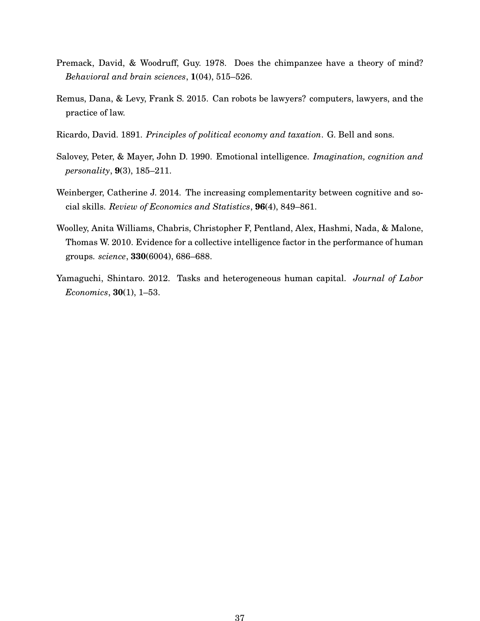- <span id="page-36-1"></span>Premack, David, & Woodruff, Guy. 1978. Does the chimpanzee have a theory of mind? *Behavioral and brain sciences*, **1**(04), 515–526.
- <span id="page-36-0"></span>Remus, Dana, & Levy, Frank S. 2015. Can robots be lawyers? computers, lawyers, and the practice of law.
- <span id="page-36-6"></span>Ricardo, David. 1891. *Principles of political economy and taxation*. G. Bell and sons.
- <span id="page-36-4"></span>Salovey, Peter, & Mayer, John D. 1990. Emotional intelligence. *Imagination, cognition and personality*, **9**(3), 185–211.
- <span id="page-36-2"></span>Weinberger, Catherine J. 2014. The increasing complementarity between cognitive and social skills. *Review of Economics and Statistics*, **96**(4), 849–861.
- <span id="page-36-5"></span>Woolley, Anita Williams, Chabris, Christopher F, Pentland, Alex, Hashmi, Nada, & Malone, Thomas W. 2010. Evidence for a collective intelligence factor in the performance of human groups. *science*, **330**(6004), 686–688.
- <span id="page-36-3"></span>Yamaguchi, Shintaro. 2012. Tasks and heterogeneous human capital. *Journal of Labor Economics*, **30**(1), 1–53.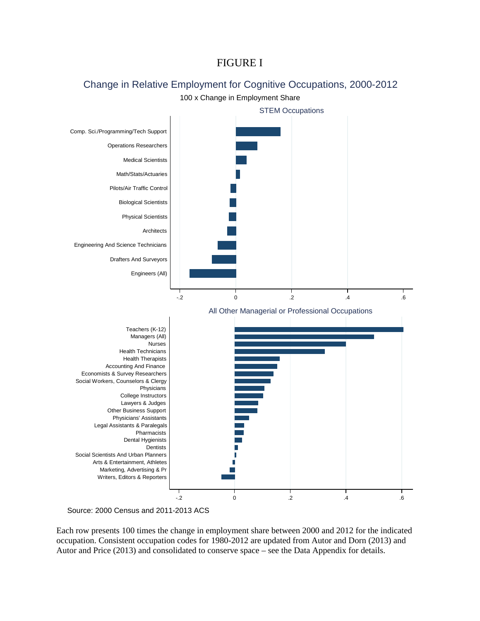# FIGURE I

# Change in Relative Employment for Cognitive Occupations, 2000-2012

100 x Change in Employment Share



Source: 2000 Census and 2011-2013 ACS

Each row presents 100 times the change in employment share between 2000 and 2012 for the indicated occupation. Consistent occupation codes for 1980-2012 are updated from Autor and Dorn (2013) and Autor and Price (2013) and consolidated to conserve space – see the Data Appendix for details.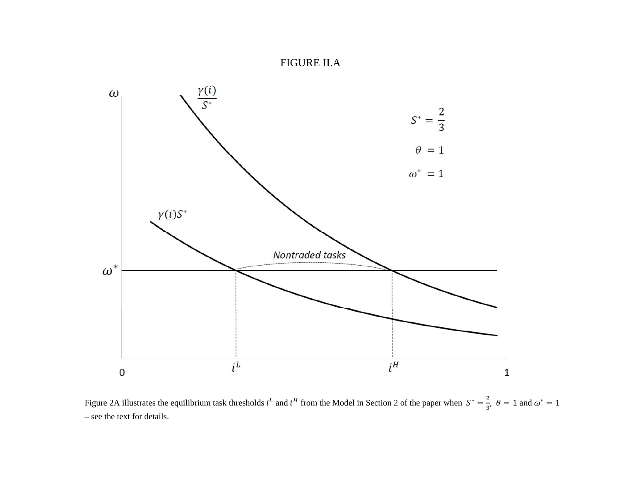#### FIGURE II.A



Figure 2A illustrates the equilibrium task thresholds  $i^L$  and  $i^H$  from the Model in Section 2 of the paper when  $S^* = \frac{2}{3}$ ,  $\theta = 1$  and  $\omega^* = 1$ – see the text for details.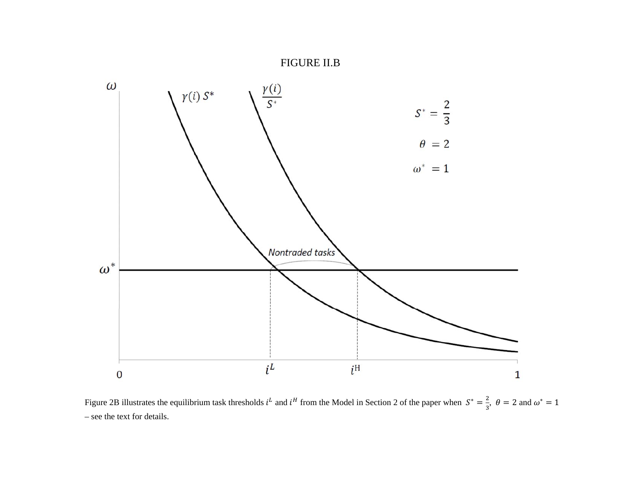



Figure 2B illustrates the equilibrium task thresholds  $i^L$  and  $i^H$  from the Model in Section 2 of the paper when  $S^* = \frac{2}{3}$ ,  $\theta = 2$  and  $\omega^* = 1$ – see the text for details.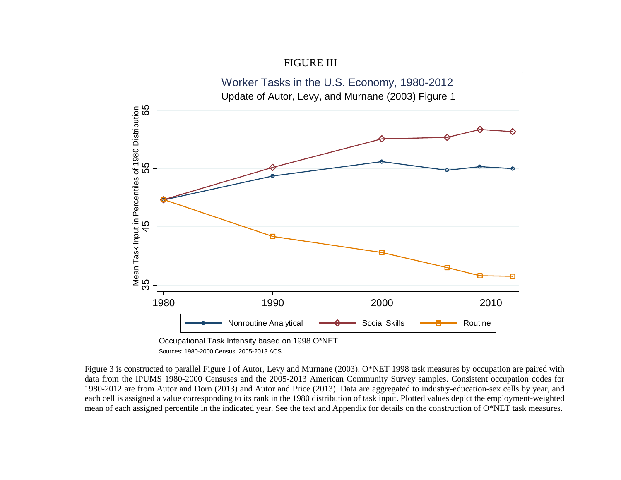

Figure 3 is constructed to parallel Figure I of Autor, Levy and Murnane (2003). O\*NET 1998 task measures by occupation are paired with data from the IPUMS 1980-2000 Censuses and the 2005-2013 American Community Survey samples. Consistent occupation codes for 1980-2012 are from Autor and Dorn (2013) and Autor and Price (2013). Data are aggregated to industry-education-sex cells by year, and each cell is assigned a value corresponding to its rank in the 1980 distribution of task input. Plotted values depict the employment-weighted mean of each assigned percentile in the indicated year. See the text and Appendix for details on the construction of O\*NET task measures.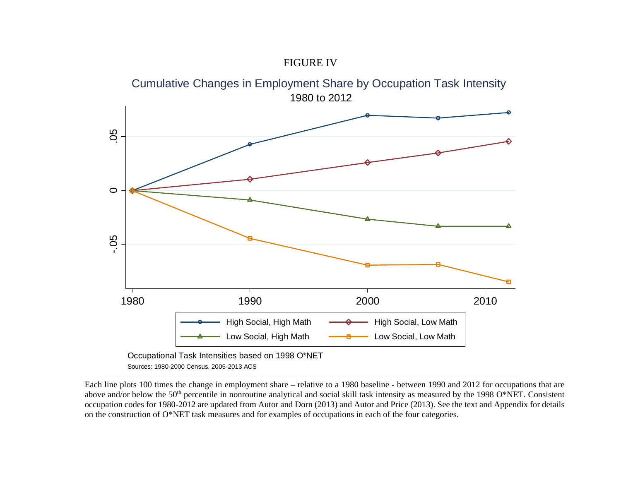



Each line plots 100 times the change in employment share – relative to a 1980 baseline - between 1990 and 2012 for occupations that are above and/or below the 50<sup>th</sup> percentile in nonroutine analytical and social skill task intensity as measured by the 1998 O\*NET. Consistent occupation codes for 1980-2012 are updated from Autor and Dorn (2013) and Autor and Price (2013). See the text and Appendix for details on the construction of O\*NET task measures and for examples of occupations in each of the four categories.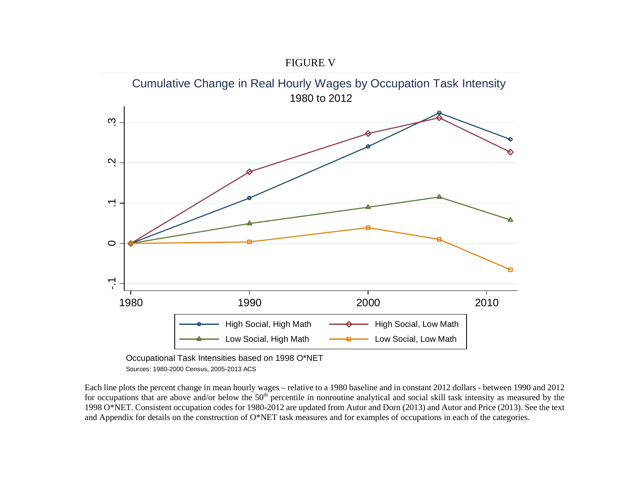



Each line plots the percent change in mean hourly wages – relative to a 1980 baseline and in constant 2012 dollars - between 1990 and 2012 for occupations that are above and/or below the 50<sup>th</sup> percentile in nonroutine analytical and social skill task intensity as measured by the 1998 O\*NET. Consistent occupation codes for 1980-2012 are updated from Autor and Dorn (2013) and Autor and Price (2013). See the text and Appendix for details on the construction of O\*NET task measures and for examples of occupations in each of the categories.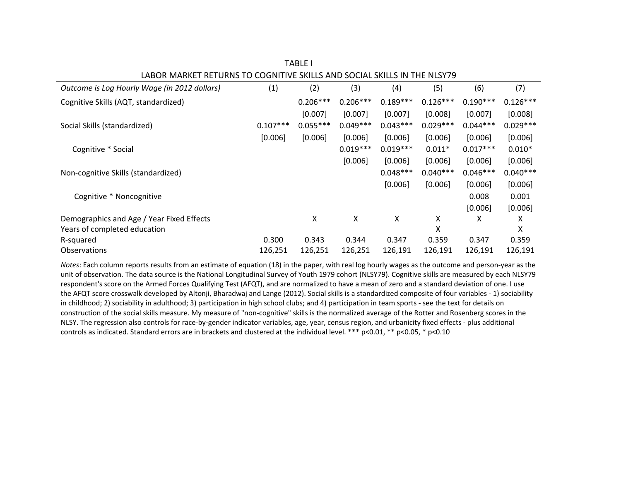| Outcome is Log Hourly Wage (in 2012 dollars) | (1)        | (2)        | (3)        | (4)        | (5)        | (6)        | (7)        |
|----------------------------------------------|------------|------------|------------|------------|------------|------------|------------|
| Cognitive Skills (AQT, standardized)         |            | $0.206***$ | $0.206***$ | $0.189***$ | $0.126***$ | $0.190***$ | $0.126***$ |
|                                              |            | [0.007]    | [0.007]    | [0.007]    | [0.008]    | [0.007]    | [0.008]    |
| Social Skills (standardized)                 | $0.107***$ | $0.055***$ | $0.049***$ | $0.043***$ | $0.029***$ | $0.044***$ | $0.029***$ |
|                                              | [0.006]    | [0.006]    | [0.006]    | [0.006]    | [0.006]    | [0.006]    | [0.006]    |
| Cognitive * Social                           |            |            | $0.019***$ | $0.019***$ | $0.011*$   | $0.017***$ | $0.010*$   |
|                                              |            |            | [0.006]    | [0.006]    | [0.006]    | [0.006]    | [0.006]    |
| Non-cognitive Skills (standardized)          |            |            |            | $0.048***$ | $0.040***$ | $0.046***$ | $0.040***$ |
|                                              |            |            |            | [0.006]    | [0.006]    | [0.006]    | [0.006]    |
| Cognitive * Noncognitive                     |            |            |            |            |            | 0.008      | 0.001      |
|                                              |            |            |            |            |            | [0.006]    | [0.006]    |
| Demographics and Age / Year Fixed Effects    |            | X          | x          | X          | Χ          | х          | x          |
| Years of completed education                 |            |            |            |            | Χ          |            | х          |
| R-squared                                    | 0.300      | 0.343      | 0.344      | 0.347      | 0.359      | 0.347      | 0.359      |
| <b>Observations</b>                          | 126,251    | 126,251    | 126,251    | 126,191    | 126,191    | 126,191    | 126,191    |

TABLE I LABOR MARKET RETURNS TO COGNITIVE SKILLS AND SOCIAL SKILLS IN THE NLSY79

*Notes*: Each column reports results from an estimate of equation (18) in the paper, with real log hourly wages as the outcome and person‐year as the unit of observation. The data source is the National Longitudinal Survey of Youth 1979 cohort (NLSY79). Cognitive skills are measured by each NLSY79 respondent's score on the Armed Forces Qualifying Test (AFQT), and are normalized to have <sup>a</sup> mean of zero and <sup>a</sup> standard deviation of one. I use the AFQT score crosswalk developed by Altonji, Bharadwaj and Lange (2012). Social skills is <sup>a</sup> standardized composite of four variables ‐ 1) sociability in childhood; 2) sociability in adulthood; 3) participation in high school clubs; and 4) participation in team sports ‐ see the text for details on construction of the social skills measure. My measure of "non-cognitive" skills is the normalized average of the Rotter and Rosenberg scores in the NLSY. The regression also controls for race‐by‐gender indicator variables, age, year, census region, and urbanicity fixed effects ‐ plus additional controls as indicated. Standard errors are in brackets and clustered at the individual level. \*\*\* p<0.01, \*\* p<0.05, \* p<0.10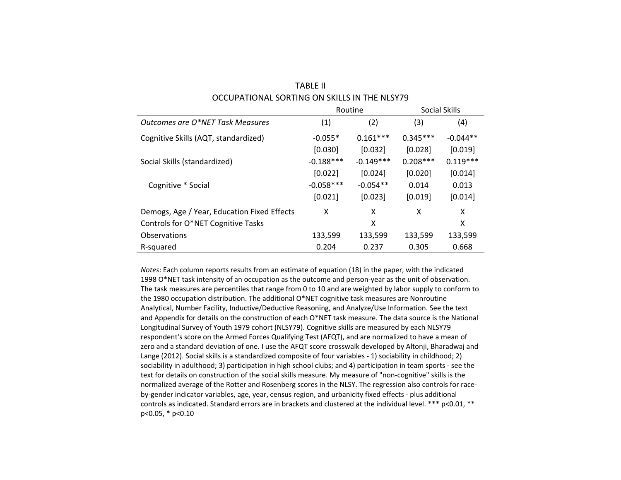| OCCUPATIONAL SORTING ON SKILLS IN THE NLSY79 |             |             |            |               |  |  |
|----------------------------------------------|-------------|-------------|------------|---------------|--|--|
|                                              | Routine     |             |            | Social Skills |  |  |
| Outcomes are O*NET Task Measures             | (1)         | (2)         | (3)        | (4)           |  |  |
| Cognitive Skills (AQT, standardized)         | $-0.055*$   | $0.161***$  | $0.345***$ | $-0.044**$    |  |  |
|                                              | [0.030]     | [0.032]     | [0.028]    | [0.019]       |  |  |
| Social Skills (standardized)                 | $-0.188***$ | $-0.149***$ | $0.208***$ | $0.119***$    |  |  |
|                                              | [0.022]     | [0.024]     | [0.020]    | [0.014]       |  |  |
| Cognitive * Social                           | $-0.058***$ | $-0.054**$  | 0.014      | 0.013         |  |  |
|                                              | [0.021]     | [0.023]     | [0.019]    | [0.014]       |  |  |
| Demogs, Age / Year, Education Fixed Effects  | x           | X           | x          | X             |  |  |
| Controls for O*NET Cognitive Tasks           |             | X           |            | x             |  |  |
| Observations                                 | 133,599     | 133,599     | 133,599    | 133,599       |  |  |
| R-squared                                    | 0.204       | 0.237       | 0.305      | 0.668         |  |  |

TABLE II

*Notes*: Each column reports results from an estimate of equation (18) in the paper, with the indicated 1998 O\*NET task intensity of an occupation as the outcome and person‐year as the unit of observation. The task measures are percentiles that range from 0 to 10 and are weighted by labor supply to conform to the 1980 occupation distribution. The additional O\*NET cognitive task measures are Nonroutine Analytical, Number Facility, Inductive/Deductive Reasoning, and Analyze/Use Information. See the text and Appendix for details on the construction of each O\*NET task measure. The data source is the National Longitudinal Survey of Youth 1979 cohort (NLSY79). Cognitive skills are measured by each NLSY79 respondent's score on the Armed Forces Qualifying Test (AFQT), and are normalized to have <sup>a</sup> mean of zero and <sup>a</sup> standard deviation of one. I use the AFQT score crosswalk developed by Altonji, Bharadwaj and Lange (2012). Social skills is <sup>a</sup> standardized composite of four variables ‐ 1) sociability in childhood; 2) sociability in adulthood; 3) participation in high school clubs; and 4) participation in team sports ‐ see the text for details on construction of the social skills measure. My measure of "non‐cognitive" skills is the normalized average of the Rotter and Rosenberg scores in the NLSY. The regression also controls for race‐ by‐gender indicator variables, age, year, census region, and urbanicity fixed effects ‐ plus additional controls as indicated. Standard errors are in brackets and clustered at the individual level. \*\*\* p<0.01, \*\* p<0.05, \* p<0.10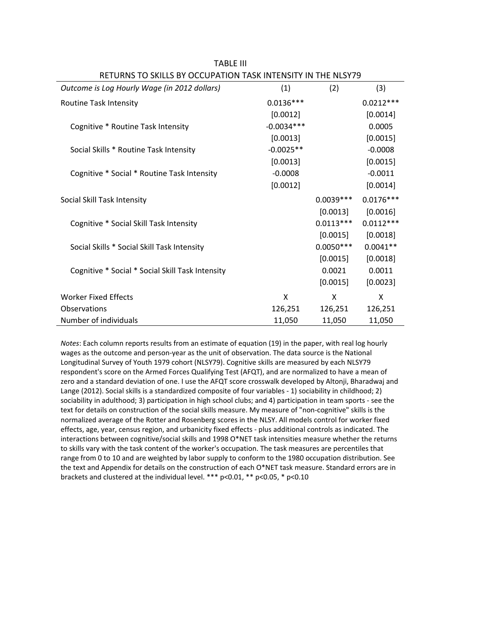| Outcome is Log Hourly Wage (in 2012 dollars)     | (1)          | (2)         | (3)         |
|--------------------------------------------------|--------------|-------------|-------------|
| Routine Task Intensity                           | $0.0136***$  |             | $0.0212***$ |
|                                                  | [0.0012]     |             | [0.0014]    |
| Cognitive * Routine Task Intensity               | $-0.0034***$ |             | 0.0005      |
|                                                  | [0.0013]     |             | [0.0015]    |
| Social Skills * Routine Task Intensity           | $-0.0025**$  |             | $-0.0008$   |
|                                                  | [0.0013]     |             | [0.0015]    |
| Cognitive * Social * Routine Task Intensity      | $-0.0008$    |             | $-0.0011$   |
|                                                  | [0.0012]     |             | [0.0014]    |
| Social Skill Task Intensity                      |              | $0.0039***$ | $0.0176***$ |
|                                                  |              | [0.0013]    | [0.0016]    |
| Cognitive * Social Skill Task Intensity          |              | $0.0113***$ | $0.0112***$ |
|                                                  |              | [0.0015]    | [0.0018]    |
| Social Skills * Social Skill Task Intensity      |              | $0.0050***$ | $0.0041**$  |
|                                                  |              | [0.0015]    | [0.0018]    |
| Cognitive * Social * Social Skill Task Intensity |              | 0.0021      | 0.0011      |
|                                                  |              | [0.0015]    | [0.0023]    |
| <b>Worker Fixed Effects</b>                      | X            | X           | X           |
| Observations                                     | 126,251      | 126,251     | 126,251     |
| Number of individuals                            | 11,050       | 11,050      | 11,050      |

TABLE III RETURNS TO SKILLS BY OCCUPATION TASK INTENSITY IN THE NLSY79

*Notes*: Each column reports results from an estimate of equation (19) in the paper, with real log hourly wages as the outcome and person‐year as the unit of observation. The data source is the National Longitudinal Survey of Youth 1979 cohort (NLSY79). Cognitive skills are measured by each NLSY79 respondent's score on the Armed Forces Qualifying Test (AFQT), and are normalized to have a mean of zero and a standard deviation of one. I use the AFQT score crosswalk developed by Altonji, Bharadwaj and Lange (2012). Social skills is a standardized composite of four variables ‐ 1) sociability in childhood; 2) sociability in adulthood; 3) participation in high school clubs; and 4) participation in team sports ‐ see the text for details on construction of the social skills measure. My measure of "non-cognitive" skills is the normalized average of the Rotter and Rosenberg scores in the NLSY. All models control for worker fixed effects, age, year, census region, and urbanicity fixed effects ‐ plus additional controls as indicated. The interactions between cognitive/social skills and 1998 O\*NET task intensities measure whether the returns to skills vary with the task content of the worker's occupation. The task measures are percentiles that range from 0 to 10 and are weighted by labor supply to conform to the 1980 occupation distribution. See the text and Appendix for details on the construction of each O\*NET task measure. Standard errors are in brackets and clustered at the individual level. \*\*\* p<0.01, \*\* p<0.05, \* p<0.10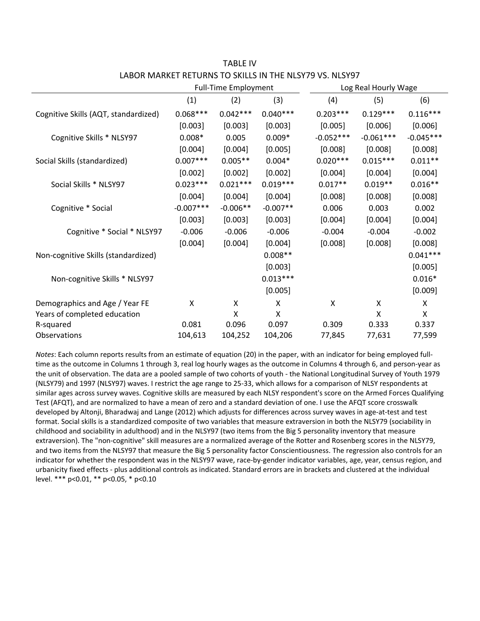|                                      |             | <b>Full-Time Employment</b> |            |             | Log Real Hourly Wage |             |  |
|--------------------------------------|-------------|-----------------------------|------------|-------------|----------------------|-------------|--|
|                                      | (1)         | (2)                         | (3)        | (4)         | (5)                  | (6)         |  |
| Cognitive Skills (AQT, standardized) | $0.068***$  | $0.042***$                  | $0.040***$ | $0.203***$  | $0.129***$           | $0.116***$  |  |
|                                      | [0.003]     | [0.003]                     | [0.003]    | [0.005]     | [0.006]              | [0.006]     |  |
| Cognitive Skills * NLSY97            | $0.008*$    | 0.005                       | $0.009*$   | $-0.052***$ | $-0.061***$          | $-0.045***$ |  |
|                                      | [0.004]     | [0.004]                     | [0.005]    | [0.008]     | [0.008]              | [0.008]     |  |
| Social Skills (standardized)         | $0.007***$  | $0.005**$                   | $0.004*$   | $0.020***$  | $0.015***$           | $0.011**$   |  |
|                                      | [0.002]     | [0.002]                     | [0.002]    | [0.004]     | [0.004]              | [0.004]     |  |
| Social Skills * NLSY97               | $0.023***$  | $0.021***$                  | $0.019***$ | $0.017**$   | $0.019**$            | $0.016**$   |  |
|                                      | [0.004]     | [0.004]                     | [0.004]    | [0.008]     | [0.008]              | [0.008]     |  |
| Cognitive * Social                   | $-0.007***$ | $-0.006**$                  | $-0.007**$ | 0.006       | 0.003                | 0.002       |  |
|                                      | [0.003]     | [0.003]                     | [0.003]    | [0.004]     | [0.004]              | [0.004]     |  |
| Cognitive * Social * NLSY97          | $-0.006$    | $-0.006$                    | $-0.006$   | $-0.004$    | $-0.004$             | $-0.002$    |  |
|                                      | [0.004]     | [0.004]                     | [0.004]    | [0.008]     | [0.008]              | [0.008]     |  |
| Non-cognitive Skills (standardized)  |             |                             | $0.008**$  |             |                      | $0.041***$  |  |
|                                      |             |                             | [0.003]    |             |                      | [0.005]     |  |
| Non-cognitive Skills * NLSY97        |             |                             | $0.013***$ |             |                      | $0.016*$    |  |
|                                      |             |                             | [0.005]    |             |                      | [0.009]     |  |
| Demographics and Age / Year FE       | X           | X                           | X          | Χ           | X                    | X           |  |
| Years of completed education         |             | X                           | X          |             | X                    | X           |  |
| R-squared                            | 0.081       | 0.096                       | 0.097      | 0.309       | 0.333                | 0.337       |  |
| Observations                         | 104,613     | 104,252                     | 104,206    | 77,845      | 77,631               | 77,599      |  |

TABLE IV LABOR MARKET RETURNS TO SKILLS IN THE NLSY79 VS. NLSY97

*Notes*: Each column reports results from an estimate of equation (20) in the paper, with an indicator for being employed full‐ time as the outcome in Columns 1 through 3, real log hourly wages as the outcome in Columns 4 through 6, and person‐year as the unit of observation. The data are a pooled sample of two cohorts of youth ‐ the National Longitudinal Survey of Youth 1979 (NLSY79) and 1997 (NLSY97) waves. I restrict the age range to 25‐33, which allows for a comparison of NLSY respondents at similar ages across survey waves. Cognitive skills are measured by each NLSY respondent's score on the Armed Forces Qualifying Test (AFQT), and are normalized to have a mean of zero and a standard deviation of one. I use the AFQT score crosswalk developed by Altonji, Bharadwaj and Lange (2012) which adjusts for differences across survey waves in age‐at‐test and test format. Social skills is a standardized composite of two variables that measure extraversion in both the NLSY79 (sociability in childhood and sociability in adulthood) and in the NLSY97 (two items from the Big 5 personality inventory that measure extraversion). The "non‐cognitive" skill measures are a normalized average of the Rotter and Rosenberg scores in the NLSY79, and two items from the NLSY97 that measure the Big 5 personality factor Conscientiousness. The regression also controls for an indicator for whether the respondent was in the NLSY97 wave, race‐by‐gender indicator variables, age, year, census region, and urbanicity fixed effects ‐ plus additional controls as indicated. Standard errors are in brackets and clustered at the individual level. \*\*\* p<0.01, \*\* p<0.05, \* p<0.10